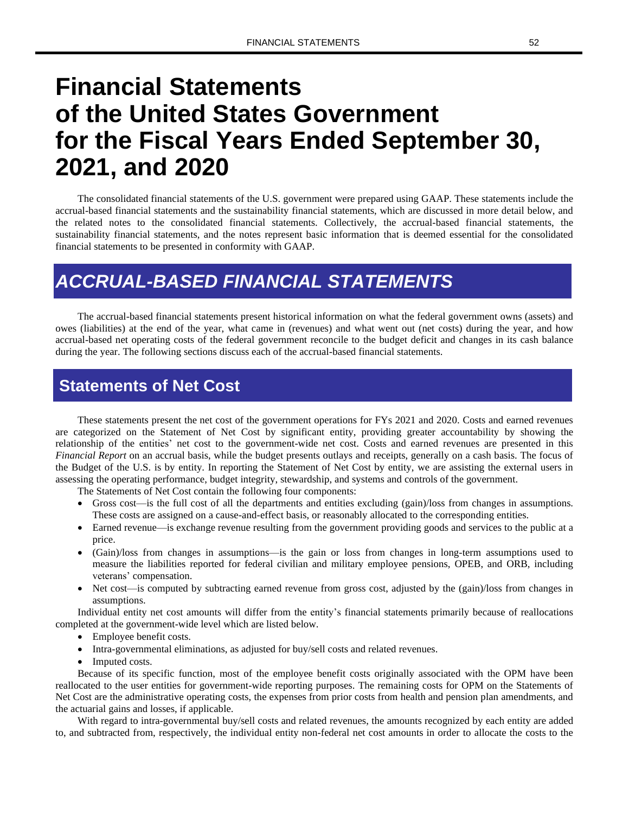# **Financial Statements of the United States Government for the Fiscal Years Ended September 30, 2021, and 2020**

The consolidated financial statements of the U.S. government were prepared using GAAP. These statements include the accrual-based financial statements and the sustainability financial statements, which are discussed in more detail below, and the related notes to the consolidated financial statements. Collectively, the accrual-based financial statements, the sustainability financial statements, and the notes represent basic information that is deemed essential for the consolidated financial statements to be presented in conformity with GAAP.

# *ACCRUAL-BASED FINANCIAL STATEMENTS*

The accrual-based financial statements present historical information on what the federal government owns (assets) and owes (liabilities) at the end of the year, what came in (revenues) and what went out (net costs) during the year, and how accrual-based net operating costs of the federal government reconcile to the budget deficit and changes in its cash balance during the year. The following sections discuss each of the accrual-based financial statements.

## **Statements of Net Cost**

These statements present the net cost of the government operations for FYs 2021 and 2020. Costs and earned revenues are categorized on the Statement of Net Cost by significant entity, providing greater accountability by showing the relationship of the entities' net cost to the government-wide net cost. Costs and earned revenues are presented in this *Financial Report* on an accrual basis, while the budget presents outlays and receipts, generally on a cash basis. The focus of the Budget of the U.S. is by entity. In reporting the Statement of Net Cost by entity, we are assisting the external users in assessing the operating performance, budget integrity, stewardship, and systems and controls of the government.

The Statements of Net Cost contain the following four components:

- Gross cost—is the full cost of all the departments and entities excluding (gain)/loss from changes in assumptions. These costs are assigned on a cause-and-effect basis, or reasonably allocated to the corresponding entities.
- Earned revenue—is exchange revenue resulting from the government providing goods and services to the public at a price.
- (Gain)/loss from changes in assumptions—is the gain or loss from changes in long-term assumptions used to measure the liabilities reported for federal civilian and military employee pensions, OPEB, and ORB, including veterans' compensation.
- Net cost—is computed by subtracting earned revenue from gross cost, adjusted by the (gain)/loss from changes in assumptions.

Individual entity net cost amounts will differ from the entity's financial statements primarily because of reallocations completed at the government-wide level which are listed below.

- Employee benefit costs.
- Intra-governmental eliminations, as adjusted for buy/sell costs and related revenues.
- Imputed costs.

Because of its specific function, most of the employee benefit costs originally associated with the OPM have been reallocated to the user entities for government-wide reporting purposes. The remaining costs for OPM on the Statements of Net Cost are the administrative operating costs, the expenses from prior costs from health and pension plan amendments, and the actuarial gains and losses, if applicable.

With regard to intra-governmental buy/sell costs and related revenues, the amounts recognized by each entity are added to, and subtracted from, respectively, the individual entity non-federal net cost amounts in order to allocate the costs to the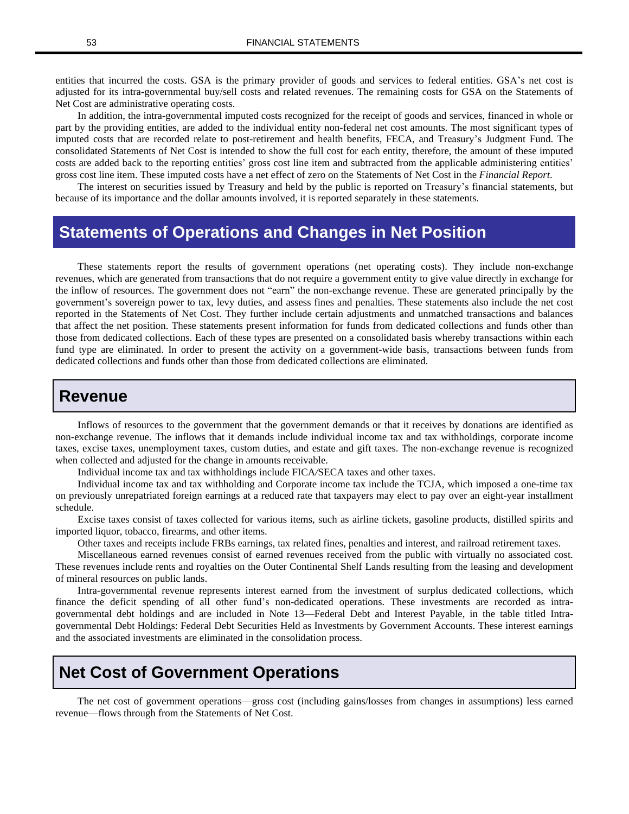entities that incurred the costs. GSA is the primary provider of goods and services to federal entities. GSA's net cost is adjusted for its intra-governmental buy/sell costs and related revenues. The remaining costs for GSA on the Statements of Net Cost are administrative operating costs.

In addition, the intra-governmental imputed costs recognized for the receipt of goods and services, financed in whole or part by the providing entities, are added to the individual entity non-federal net cost amounts. The most significant types of imputed costs that are recorded relate to post-retirement and health benefits, FECA, and Treasury's Judgment Fund. The consolidated Statements of Net Cost is intended to show the full cost for each entity, therefore, the amount of these imputed costs are added back to the reporting entities' gross cost line item and subtracted from the applicable administering entities' gross cost line item. These imputed costs have a net effect of zero on the Statements of Net Cost in the *Financial Report*.

The interest on securities issued by Treasury and held by the public is reported on Treasury's financial statements, but because of its importance and the dollar amounts involved, it is reported separately in these statements.

### **Statements of Operations and Changes in Net Position**

These statements report the results of government operations (net operating costs). They include non-exchange revenues, which are generated from transactions that do not require a government entity to give value directly in exchange for the inflow of resources. The government does not "earn" the non-exchange revenue. These are generated principally by the government's sovereign power to tax, levy duties, and assess fines and penalties. These statements also include the net cost reported in the Statements of Net Cost. They further include certain adjustments and unmatched transactions and balances that affect the net position. These statements present information for funds from dedicated collections and funds other than those from dedicated collections. Each of these types are presented on a consolidated basis whereby transactions within each fund type are eliminated. In order to present the activity on a government-wide basis, transactions between funds from dedicated collections and funds other than those from dedicated collections are eliminated.

### **Revenue**

Inflows of resources to the government that the government demands or that it receives by donations are identified as non-exchange revenue. The inflows that it demands include individual income tax and tax withholdings, corporate income taxes, excise taxes, unemployment taxes, custom duties, and estate and gift taxes. The non-exchange revenue is recognized when collected and adjusted for the change in amounts receivable.

Individual income tax and tax withholdings include FICA*/*SECA taxes and other taxes.

Individual income tax and tax withholding and Corporate income tax include the TCJA, which imposed a one-time tax on previously unrepatriated foreign earnings at a reduced rate that taxpayers may elect to pay over an eight-year installment schedule.

Excise taxes consist of taxes collected for various items, such as airline tickets, gasoline products, distilled spirits and imported liquor, tobacco, firearms, and other items.

Other taxes and receipts include FRBs earnings, tax related fines, penalties and interest, and railroad retirement taxes.

Miscellaneous earned revenues consist of earned revenues received from the public with virtually no associated cost. These revenues include rents and royalties on the Outer Continental Shelf Lands resulting from the leasing and development of mineral resources on public lands.

Intra-governmental revenue represents interest earned from the investment of surplus dedicated collections, which finance the deficit spending of all other fund's non-dedicated operations. These investments are recorded as intragovernmental debt holdings and are included in Note 13—Federal Debt and Interest Payable, in the table titled Intragovernmental Debt Holdings: Federal Debt Securities Held as Investments by Government Accounts. These interest earnings and the associated investments are eliminated in the consolidation process.

### **Net Cost of Government Operations**

The net cost of government operations—gross cost (including gains/losses from changes in assumptions) less earned revenue—flows through from the Statements of Net Cost.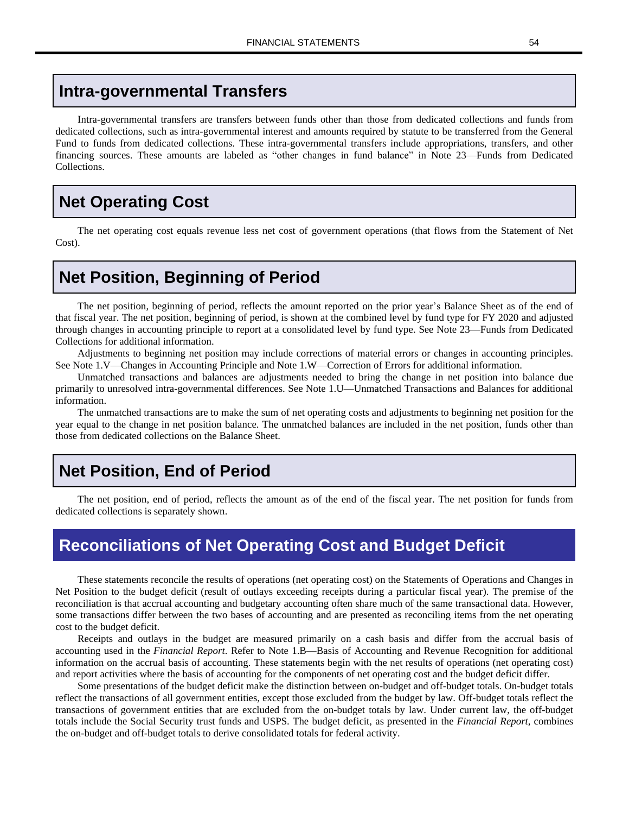### **Intra-governmental Transfers**

Intra-governmental transfers are transfers between funds other than those from dedicated collections and funds from dedicated collections, such as intra-governmental interest and amounts required by statute to be transferred from the General Fund to funds from dedicated collections. These intra-governmental transfers include appropriations, transfers, and other financing sources. These amounts are labeled as "other changes in fund balance" in Note 23—Funds from Dedicated Collections.

# **Net Operating Cost**

The net operating cost equals revenue less net cost of government operations (that flows from the Statement of Net Cost).

# **Net Position, Beginning of Period**

The net position, beginning of period, reflects the amount reported on the prior year's Balance Sheet as of the end of that fiscal year. The net position, beginning of period, is shown at the combined level by fund type for FY 2020 and adjusted through changes in accounting principle to report at a consolidated level by fund type. See Note 23—Funds from Dedicated Collections for additional information.

Adjustments to beginning net position may include corrections of material errors or changes in accounting principles. See Note 1.V—Changes in Accounting Principle and Note 1.W—Correction of Errors for additional information.

Unmatched transactions and balances are adjustments needed to bring the change in net position into balance due primarily to unresolved intra-governmental differences. See Note 1.U—Unmatched Transactions and Balances for additional information.

The unmatched transactions are to make the sum of net operating costs and adjustments to beginning net position for the year equal to the change in net position balance. The unmatched balances are included in the net position, funds other than those from dedicated collections on the Balance Sheet.

# **Net Position, End of Period**

The net position, end of period, reflects the amount as of the end of the fiscal year. The net position for funds from dedicated collections is separately shown.

# **Reconciliations of Net Operating Cost and Budget Deficit**

These statements reconcile the results of operations (net operating cost) on the Statements of Operations and Changes in Net Position to the budget deficit (result of outlays exceeding receipts during a particular fiscal year). The premise of the reconciliation is that accrual accounting and budgetary accounting often share much of the same transactional data. However, some transactions differ between the two bases of accounting and are presented as reconciling items from the net operating cost to the budget deficit.

Receipts and outlays in the budget are measured primarily on a cash basis and differ from the accrual basis of accounting used in the *Financial Report*. Refer to Note 1.B—Basis of Accounting and Revenue Recognition for additional information on the accrual basis of accounting. These statements begin with the net results of operations (net operating cost) and report activities where the basis of accounting for the components of net operating cost and the budget deficit differ.

Some presentations of the budget deficit make the distinction between on-budget and off-budget totals. On-budget totals reflect the transactions of all government entities, except those excluded from the budget by law. Off-budget totals reflect the transactions of government entities that are excluded from the on-budget totals by law. Under current law, the off-budget totals include the Social Security trust funds and USPS. The budget deficit, as presented in the *Financial Report*, combines the on-budget and off-budget totals to derive consolidated totals for federal activity.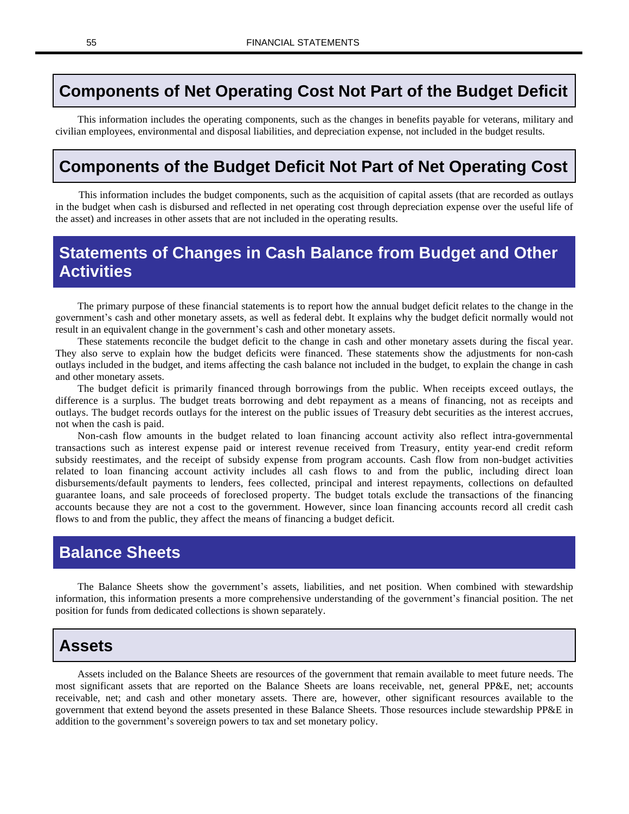## **Components of Net Operating Cost Not Part of the Budget Deficit**

This information includes the operating components, such as the changes in benefits payable for veterans, military and civilian employees, environmental and disposal liabilities, and depreciation expense, not included in the budget results.

# **Components of the Budget Deficit Not Part of Net Operating Cost**

This information includes the budget components, such as the acquisition of capital assets (that are recorded as outlays in the budget when cash is disbursed and reflected in net operating cost through depreciation expense over the useful life of the asset) and increases in other assets that are not included in the operating results.

# **Statements of Changes in Cash Balance from Budget and Other Activities**

The primary purpose of these financial statements is to report how the annual budget deficit relates to the change in the government's cash and other monetary assets, as well as federal debt. It explains why the budget deficit normally would not result in an equivalent change in the government's cash and other monetary assets.

These statements reconcile the budget deficit to the change in cash and other monetary assets during the fiscal year. They also serve to explain how the budget deficits were financed. These statements show the adjustments for non-cash outlays included in the budget, and items affecting the cash balance not included in the budget, to explain the change in cash and other monetary assets.

The budget deficit is primarily financed through borrowings from the public. When receipts exceed outlays, the difference is a surplus. The budget treats borrowing and debt repayment as a means of financing, not as receipts and outlays. The budget records outlays for the interest on the public issues of Treasury debt securities as the interest accrues, not when the cash is paid.

Non-cash flow amounts in the budget related to loan financing account activity also reflect intra-governmental transactions such as interest expense paid or interest revenue received from Treasury, entity year-end credit reform subsidy reestimates, and the receipt of subsidy expense from program accounts. Cash flow from non-budget activities related to loan financing account activity includes all cash flows to and from the public, including direct loan disbursements/default payments to lenders, fees collected, principal and interest repayments, collections on defaulted guarantee loans, and sale proceeds of foreclosed property. The budget totals exclude the transactions of the financing accounts because they are not a cost to the government. However, since loan financing accounts record all credit cash flows to and from the public, they affect the means of financing a budget deficit.

# **Balance Sheets**

The Balance Sheets show the government's assets, liabilities, and net position. When combined with stewardship information, this information presents a more comprehensive understanding of the government's financial position. The net position for funds from dedicated collections is shown separately.

### **Assets**

Assets included on the Balance Sheets are resources of the government that remain available to meet future needs. The most significant assets that are reported on the Balance Sheets are loans receivable, net, general PP&E, net; accounts receivable, net; and cash and other monetary assets. There are, however, other significant resources available to the government that extend beyond the assets presented in these Balance Sheets. Those resources include stewardship PP&E in addition to the government's sovereign powers to tax and set monetary policy.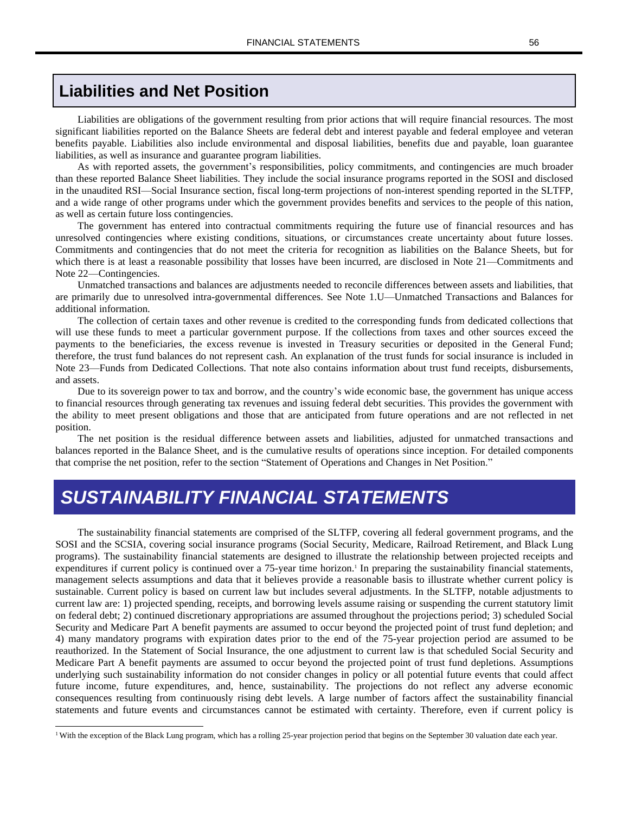### **Liabilities and Net Position**

Liabilities are obligations of the government resulting from prior actions that will require financial resources. The most significant liabilities reported on the Balance Sheets are federal debt and interest payable and federal employee and veteran benefits payable. Liabilities also include environmental and disposal liabilities, benefits due and payable, loan guarantee liabilities, as well as insurance and guarantee program liabilities.

As with reported assets, the government's responsibilities, policy commitments, and contingencies are much broader than these reported Balance Sheet liabilities. They include the social insurance programs reported in the SOSI and disclosed in the unaudited RSI—Social Insurance section, fiscal long-term projections of non-interest spending reported in the SLTFP, and a wide range of other programs under which the government provides benefits and services to the people of this nation, as well as certain future loss contingencies.

The government has entered into contractual commitments requiring the future use of financial resources and has unresolved contingencies where existing conditions, situations, or circumstances create uncertainty about future losses. Commitments and contingencies that do not meet the criteria for recognition as liabilities on the Balance Sheets, but for which there is at least a reasonable possibility that losses have been incurred, are disclosed in Note 21—Commitments and Note 22—Contingencies.

Unmatched transactions and balances are adjustments needed to reconcile differences between assets and liabilities, that are primarily due to unresolved intra-governmental differences. See Note 1.U—Unmatched Transactions and Balances for additional information.

The collection of certain taxes and other revenue is credited to the corresponding funds from dedicated collections that will use these funds to meet a particular government purpose. If the collections from taxes and other sources exceed the payments to the beneficiaries, the excess revenue is invested in Treasury securities or deposited in the General Fund; therefore, the trust fund balances do not represent cash. An explanation of the trust funds for social insurance is included in Note 23—Funds from Dedicated Collections. That note also contains information about trust fund receipts, disbursements, and assets.

Due to its sovereign power to tax and borrow, and the country's wide economic base, the government has unique access to financial resources through generating tax revenues and issuing federal debt securities. This provides the government with the ability to meet present obligations and those that are anticipated from future operations and are not reflected in net position.

The net position is the residual difference between assets and liabilities, adjusted for unmatched transactions and balances reported in the Balance Sheet, and is the cumulative results of operations since inception. For detailed components that comprise the net position, refer to the section "Statement of Operations and Changes in Net Position."

# *SUSTAINABILITY FINANCIAL STATEMENTS*

The sustainability financial statements are comprised of the SLTFP, covering all federal government programs, and the SOSI and the SCSIA, covering social insurance programs (Social Security, Medicare, Railroad Retirement, and Black Lung programs). The sustainability financial statements are designed to illustrate the relationship between projected receipts and expenditures if current policy is continued over a 75-year time horizon.<sup>1</sup> In preparing the sustainability financial statements, management selects assumptions and data that it believes provide a reasonable basis to illustrate whether current policy is sustainable. Current policy is based on current law but includes several adjustments. In the SLTFP, notable adjustments to current law are: 1) projected spending, receipts, and borrowing levels assume raising or suspending the current statutory limit on federal debt; 2) continued discretionary appropriations are assumed throughout the projections period; 3) scheduled Social Security and Medicare Part A benefit payments are assumed to occur beyond the projected point of trust fund depletion; and 4) many mandatory programs with expiration dates prior to the end of the 75-year projection period are assumed to be reauthorized. In the Statement of Social Insurance, the one adjustment to current law is that scheduled Social Security and Medicare Part A benefit payments are assumed to occur beyond the projected point of trust fund depletions. Assumptions underlying such sustainability information do not consider changes in policy or all potential future events that could affect future income, future expenditures, and, hence, sustainability. The projections do not reflect any adverse economic consequences resulting from continuously rising debt levels. A large number of factors affect the sustainability financial statements and future events and circumstances cannot be estimated with certainty. Therefore, even if current policy is

<sup>&</sup>lt;sup>1</sup> With the exception of the Black Lung program, which has a rolling 25-year projection period that begins on the September 30 valuation date each year.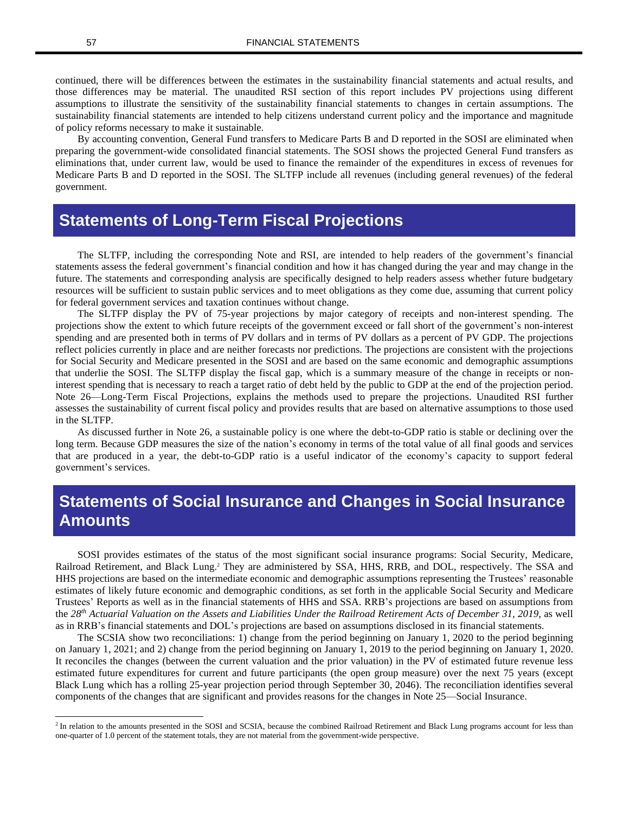continued, there will be differences between the estimates in the sustainability financial statements and actual results, and those differences may be material. The unaudited RSI section of this report includes PV projections using different assumptions to illustrate the sensitivity of the sustainability financial statements to changes in certain assumptions. The sustainability financial statements are intended to help citizens understand current policy and the importance and magnitude of policy reforms necessary to make it sustainable.

By accounting convention, General Fund transfers to Medicare Parts B and D reported in the SOSI are eliminated when preparing the government-wide consolidated financial statements. The SOSI shows the projected General Fund transfers as eliminations that, under current law, would be used to finance the remainder of the expenditures in excess of revenues for Medicare Parts B and D reported in the SOSI. The SLTFP include all revenues (including general revenues) of the federal government.

### **Statements of Long-Term Fiscal Projections**

The SLTFP, including the corresponding Note and RSI, are intended to help readers of the government's financial statements assess the federal government's financial condition and how it has changed during the year and may change in the future. The statements and corresponding analysis are specifically designed to help readers assess whether future budgetary resources will be sufficient to sustain public services and to meet obligations as they come due, assuming that current policy for federal government services and taxation continues without change.

The SLTFP display the PV of 75-year projections by major category of receipts and non-interest spending. The projections show the extent to which future receipts of the government exceed or fall short of the government's non-interest spending and are presented both in terms of PV dollars and in terms of PV dollars as a percent of PV GDP. The projections reflect policies currently in place and are neither forecasts nor predictions. The projections are consistent with the projections for Social Security and Medicare presented in the SOSI and are based on the same economic and demographic assumptions that underlie the SOSI. The SLTFP display the fiscal gap, which is a summary measure of the change in receipts or noninterest spending that is necessary to reach a target ratio of debt held by the public to GDP at the end of the projection period. Note 26—Long-Term Fiscal Projections, explains the methods used to prepare the projections. Unaudited RSI further assesses the sustainability of current fiscal policy and provides results that are based on alternative assumptions to those used in the SLTFP.

As discussed further in Note 26, a sustainable policy is one where the debt-to-GDP ratio is stable or declining over the long term. Because GDP measures the size of the nation's economy in terms of the total value of all final goods and services that are produced in a year, the debt-to-GDP ratio is a useful indicator of the economy's capacity to support federal government's services.

# **Statements of Social Insurance and Changes in Social Insurance Amounts**

SOSI provides estimates of the status of the most significant social insurance programs: Social Security, Medicare, Railroad Retirement, and Black Lung.<sup>2</sup> They are administered by SSA, HHS, RRB, and DOL, respectively. The SSA and HHS projections are based on the intermediate economic and demographic assumptions representing the Trustees' reasonable estimates of likely future economic and demographic conditions, as set forth in the applicable Social Security and Medicare Trustees' Reports as well as in the financial statements of HHS and SSA. RRB's projections are based on assumptions from the 28<sup>th</sup> Actuarial Valuation on the Assets and Liabilities Under the Railroad Retirement Acts of December 31, 2019, as well as in RRB's financial statements and DOL's projections are based on assumptions disclosed in its financial statements.

The SCSIA show two reconciliations: 1) change from the period beginning on January 1, 2020 to the period beginning on January 1, 2021; and 2) change from the period beginning on January 1, 2019 to the period beginning on January 1, 2020. It reconciles the changes (between the current valuation and the prior valuation) in the PV of estimated future revenue less estimated future expenditures for current and future participants (the open group measure) over the next 75 years (except Black Lung which has a rolling 25-year projection period through September 30, 2046). The reconciliation identifies several components of the changes that are significant and provides reasons for the changes in Note 25—Social Insurance.

<sup>&</sup>lt;sup>2</sup> In relation to the amounts presented in the SOSI and SCSIA, because the combined Railroad Retirement and Black Lung programs account for less than one-quarter of 1.0 percent of the statement totals, they are not material from the government-wide perspective.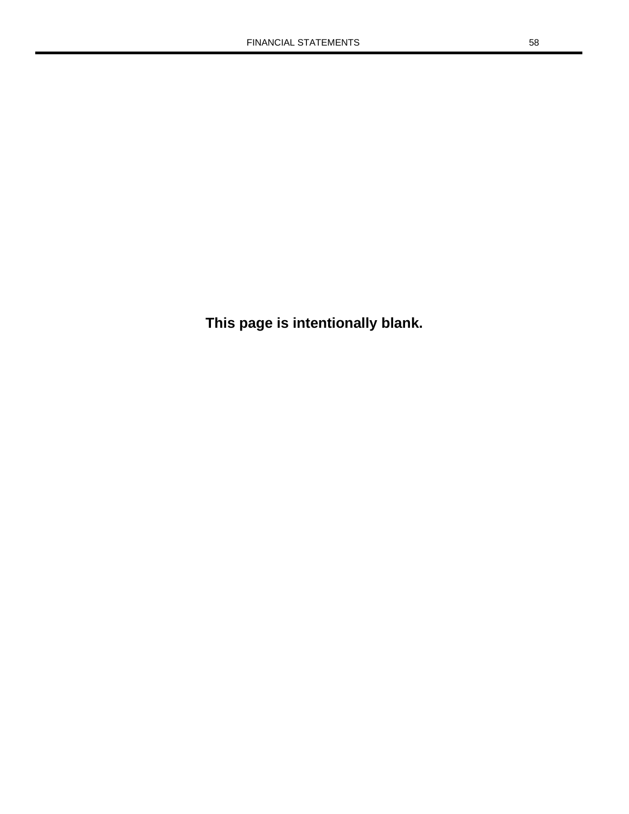**This page is intentionally blank.**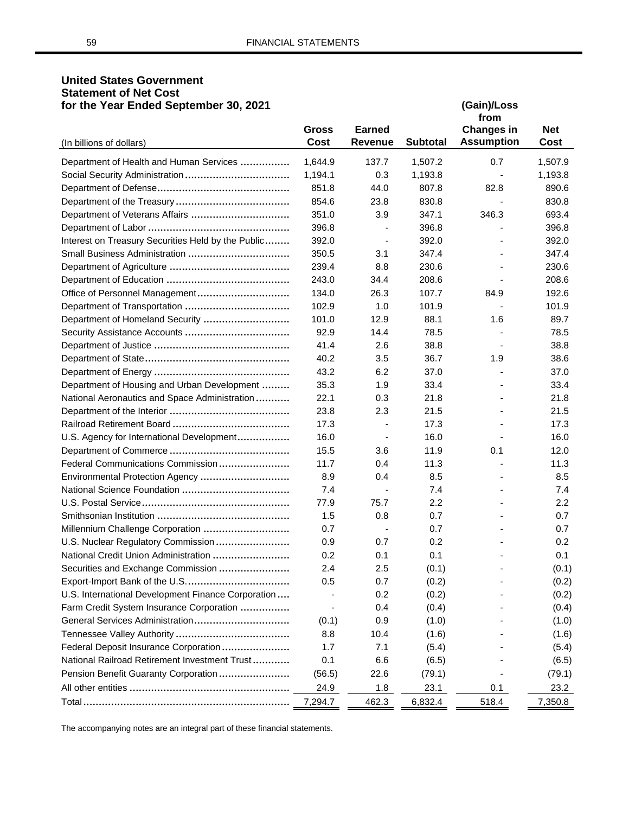#### **United States Government Statement of Net Cost** for the Year Ended September 30, 2021

| (Gain)/Loss<br>for the Year Ended September 30, 2021                                             |            |
|--------------------------------------------------------------------------------------------------|------------|
| from<br><b>Earned</b><br><b>Changes in</b><br><b>Gross</b>                                       | <b>Net</b> |
| Cost<br><b>Assumption</b><br><b>Revenue</b><br><b>Subtotal</b><br>(In billions of dollars)       | Cost       |
| Department of Health and Human Services<br>1,644.9<br>137.7<br>1,507.2<br>0.7                    | 1,507.9    |
| 1,194.1<br>0.3<br>1,193.8                                                                        | 1,193.8    |
| 807.8<br>851.8<br>44.0<br>82.8                                                                   | 890.6      |
| 854.6<br>23.8<br>830.8                                                                           | 830.8      |
| 351.0<br>3.9<br>347.1<br>346.3                                                                   | 693.4      |
| 396.8<br>396.8                                                                                   | 396.8      |
| Interest on Treasury Securities Held by the Public<br>392.0<br>392.0<br>$\overline{\phantom{a}}$ | 392.0      |
| 350.5<br>3.1<br>347.4                                                                            | 347.4      |
| 230.6<br>239.4<br>8.8                                                                            | 230.6      |
| 243.0<br>208.6<br>34.4                                                                           | 208.6      |
| 107.7<br>134.0<br>26.3<br>84.9                                                                   | 192.6      |
| 102.9<br>101.9<br>1.0                                                                            | 101.9      |
| 88.1<br>Department of Homeland Security<br>101.0<br>12.9<br>1.6                                  | 89.7       |
| 92.9<br>78.5<br>14.4<br>$\blacksquare$                                                           | 78.5       |
| 41.4<br>2.6<br>38.8<br>$\overline{\phantom{a}}$                                                  | 38.8       |
| 40.2<br>3.5<br>36.7<br>1.9                                                                       | 38.6       |
| 43.2<br>6.2<br>37.0                                                                              | 37.0       |
| 35.3<br>33.4<br>Department of Housing and Urban Development<br>1.9<br>$\blacksquare$             | 33.4       |
| 22.1<br>21.8<br>National Aeronautics and Space Administration<br>0.3<br>$\blacksquare$           | 21.8       |
| 23.8<br>2.3<br>21.5                                                                              | 21.5       |
| 17.3<br>17.3                                                                                     | 17.3       |
| 16.0<br>16.0<br>U.S. Agency for International Development                                        | 16.0       |
| 15.5<br>3.6<br>11.9<br>0.1                                                                       | 12.0       |
| 11.7<br>Federal Communications Commission<br>0.4<br>11.3                                         | 11.3       |
| Environmental Protection Agency<br>8.9<br>0.4<br>8.5                                             | 8.5        |
| 7.4<br>7.4                                                                                       | 7.4        |
| 77.9<br>75.7<br>2.2<br>٠                                                                         | 2.2        |
| 1.5<br>0.8<br>0.7                                                                                | 0.7        |
| Millennium Challenge Corporation<br>0.7<br>0.7<br>٠                                              | 0.7        |
| 0.2<br>U.S. Nuclear Regulatory Commission<br>0.9<br>0.7                                          | 0.2        |
| 0.2<br>National Credit Union Administration<br>0.1<br>0.1<br>$\blacksquare$                      | 0.1        |
| Securities and Exchange Commission<br>2.4<br>2.5<br>(0.1)                                        | (0.1)      |
| 0.5<br>0.7<br>(0.2)                                                                              | (0.2)      |
| U.S. International Development Finance Corporation<br>0.2<br>(0.2)                               | (0.2)      |
| Farm Credit System Insurance Corporation<br>0.4<br>(0.4)                                         | (0.4)      |
| (0.1)<br>0.9<br>(1.0)                                                                            | (1.0)      |
| 8.8<br>10.4<br>(1.6)                                                                             | (1.6)      |
| 1.7<br>Federal Deposit Insurance Corporation<br>7.1<br>(5.4)                                     | (5.4)      |
| National Railroad Retirement Investment Trust<br>0.1<br>6.6<br>(6.5)                             | (6.5)      |
| Pension Benefit Guaranty Corporation<br>(56.5)<br>22.6<br>(79.1)                                 | (79.1)     |
| 1.8<br>23.1<br>24.9<br>0.1                                                                       | 23.2       |
| 7,294.7<br>462.3<br>6,832.4<br>518.4                                                             | 7,350.8    |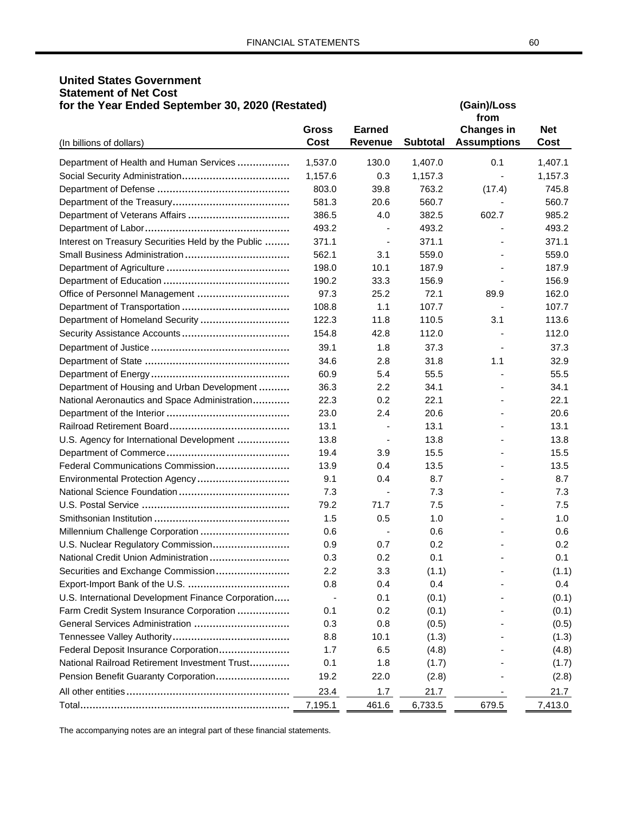### **United States Government Statement of Net Cost** for the Year Ended September 30, 2020 (Restated)

| from<br><b>Earned</b><br><b>Changes in</b><br><b>Net</b><br><b>Gross</b><br>Cost<br>Revenue<br><b>Assumptions</b><br><b>Subtotal</b><br>Cost<br>(In billions of dollars)<br>0.1<br>Department of Health and Human Services<br>1.537.0<br>130.0<br>1,407.0<br>1.407.1<br>1,157.3<br>1,157.6<br>0.3<br>1,157.3<br>803.0<br>763.2<br>39.8<br>(17.4)<br>745.8<br>581.3<br>560.7<br>20.6<br>560.7<br>386.5<br>4.0<br>382.5<br>602.7<br>985.2<br>493.2<br>493.2<br>493.2<br>Interest on Treasury Securities Held by the Public<br>371.1<br>371.1<br>371.1<br>562.1<br>3.1<br>559.0<br>559.0<br>198.0<br>10.1<br>187.9<br>187.9<br>190.2<br>156.9<br>33.3<br>156.9<br>97.3<br>72.1<br>25.2<br>89.9<br>162.0<br>108.8<br>1.1<br>107.7<br>107.7<br>3.1<br>Department of Homeland Security<br>122.3<br>11.8<br>110.5<br>113.6<br>112.0<br>112.0<br>154.8<br>42.8<br>39.1<br>1.8<br>37.3<br>37.3<br>٠<br>34.6<br>2.8<br>31.8<br>1.1<br>32.9<br>60.9<br>55.5<br>5.4<br>55.5<br>36.3<br>2.2<br>34.1<br>Department of Housing and Urban Development<br>34.1<br>22.3<br>0.2<br>National Aeronautics and Space Administration<br>22.1<br>22.1<br>23.0<br>20.6<br>2.4<br>20.6<br>13.1<br>13.1<br>13.1<br>13.8<br>U.S. Agency for International Development<br>13.8<br>13.8<br>19.4<br>3.9<br>15.5<br>15.5<br>13.9<br>Federal Communications Commission<br>0.4<br>13.5<br>13.5<br>9.1<br>0.4<br>8.7<br>8.7 |
|------------------------------------------------------------------------------------------------------------------------------------------------------------------------------------------------------------------------------------------------------------------------------------------------------------------------------------------------------------------------------------------------------------------------------------------------------------------------------------------------------------------------------------------------------------------------------------------------------------------------------------------------------------------------------------------------------------------------------------------------------------------------------------------------------------------------------------------------------------------------------------------------------------------------------------------------------------------------------------------------------------------------------------------------------------------------------------------------------------------------------------------------------------------------------------------------------------------------------------------------------------------------------------------------------------------------------------------------------------------------------------------|
|                                                                                                                                                                                                                                                                                                                                                                                                                                                                                                                                                                                                                                                                                                                                                                                                                                                                                                                                                                                                                                                                                                                                                                                                                                                                                                                                                                                          |
|                                                                                                                                                                                                                                                                                                                                                                                                                                                                                                                                                                                                                                                                                                                                                                                                                                                                                                                                                                                                                                                                                                                                                                                                                                                                                                                                                                                          |
|                                                                                                                                                                                                                                                                                                                                                                                                                                                                                                                                                                                                                                                                                                                                                                                                                                                                                                                                                                                                                                                                                                                                                                                                                                                                                                                                                                                          |
|                                                                                                                                                                                                                                                                                                                                                                                                                                                                                                                                                                                                                                                                                                                                                                                                                                                                                                                                                                                                                                                                                                                                                                                                                                                                                                                                                                                          |
|                                                                                                                                                                                                                                                                                                                                                                                                                                                                                                                                                                                                                                                                                                                                                                                                                                                                                                                                                                                                                                                                                                                                                                                                                                                                                                                                                                                          |
|                                                                                                                                                                                                                                                                                                                                                                                                                                                                                                                                                                                                                                                                                                                                                                                                                                                                                                                                                                                                                                                                                                                                                                                                                                                                                                                                                                                          |
|                                                                                                                                                                                                                                                                                                                                                                                                                                                                                                                                                                                                                                                                                                                                                                                                                                                                                                                                                                                                                                                                                                                                                                                                                                                                                                                                                                                          |
|                                                                                                                                                                                                                                                                                                                                                                                                                                                                                                                                                                                                                                                                                                                                                                                                                                                                                                                                                                                                                                                                                                                                                                                                                                                                                                                                                                                          |
|                                                                                                                                                                                                                                                                                                                                                                                                                                                                                                                                                                                                                                                                                                                                                                                                                                                                                                                                                                                                                                                                                                                                                                                                                                                                                                                                                                                          |
|                                                                                                                                                                                                                                                                                                                                                                                                                                                                                                                                                                                                                                                                                                                                                                                                                                                                                                                                                                                                                                                                                                                                                                                                                                                                                                                                                                                          |
|                                                                                                                                                                                                                                                                                                                                                                                                                                                                                                                                                                                                                                                                                                                                                                                                                                                                                                                                                                                                                                                                                                                                                                                                                                                                                                                                                                                          |
|                                                                                                                                                                                                                                                                                                                                                                                                                                                                                                                                                                                                                                                                                                                                                                                                                                                                                                                                                                                                                                                                                                                                                                                                                                                                                                                                                                                          |
|                                                                                                                                                                                                                                                                                                                                                                                                                                                                                                                                                                                                                                                                                                                                                                                                                                                                                                                                                                                                                                                                                                                                                                                                                                                                                                                                                                                          |
|                                                                                                                                                                                                                                                                                                                                                                                                                                                                                                                                                                                                                                                                                                                                                                                                                                                                                                                                                                                                                                                                                                                                                                                                                                                                                                                                                                                          |
|                                                                                                                                                                                                                                                                                                                                                                                                                                                                                                                                                                                                                                                                                                                                                                                                                                                                                                                                                                                                                                                                                                                                                                                                                                                                                                                                                                                          |
|                                                                                                                                                                                                                                                                                                                                                                                                                                                                                                                                                                                                                                                                                                                                                                                                                                                                                                                                                                                                                                                                                                                                                                                                                                                                                                                                                                                          |
|                                                                                                                                                                                                                                                                                                                                                                                                                                                                                                                                                                                                                                                                                                                                                                                                                                                                                                                                                                                                                                                                                                                                                                                                                                                                                                                                                                                          |
|                                                                                                                                                                                                                                                                                                                                                                                                                                                                                                                                                                                                                                                                                                                                                                                                                                                                                                                                                                                                                                                                                                                                                                                                                                                                                                                                                                                          |
|                                                                                                                                                                                                                                                                                                                                                                                                                                                                                                                                                                                                                                                                                                                                                                                                                                                                                                                                                                                                                                                                                                                                                                                                                                                                                                                                                                                          |
|                                                                                                                                                                                                                                                                                                                                                                                                                                                                                                                                                                                                                                                                                                                                                                                                                                                                                                                                                                                                                                                                                                                                                                                                                                                                                                                                                                                          |
|                                                                                                                                                                                                                                                                                                                                                                                                                                                                                                                                                                                                                                                                                                                                                                                                                                                                                                                                                                                                                                                                                                                                                                                                                                                                                                                                                                                          |
|                                                                                                                                                                                                                                                                                                                                                                                                                                                                                                                                                                                                                                                                                                                                                                                                                                                                                                                                                                                                                                                                                                                                                                                                                                                                                                                                                                                          |
|                                                                                                                                                                                                                                                                                                                                                                                                                                                                                                                                                                                                                                                                                                                                                                                                                                                                                                                                                                                                                                                                                                                                                                                                                                                                                                                                                                                          |
|                                                                                                                                                                                                                                                                                                                                                                                                                                                                                                                                                                                                                                                                                                                                                                                                                                                                                                                                                                                                                                                                                                                                                                                                                                                                                                                                                                                          |
|                                                                                                                                                                                                                                                                                                                                                                                                                                                                                                                                                                                                                                                                                                                                                                                                                                                                                                                                                                                                                                                                                                                                                                                                                                                                                                                                                                                          |
|                                                                                                                                                                                                                                                                                                                                                                                                                                                                                                                                                                                                                                                                                                                                                                                                                                                                                                                                                                                                                                                                                                                                                                                                                                                                                                                                                                                          |
| 7.3<br>7.3<br>7.3                                                                                                                                                                                                                                                                                                                                                                                                                                                                                                                                                                                                                                                                                                                                                                                                                                                                                                                                                                                                                                                                                                                                                                                                                                                                                                                                                                        |
| 79.2<br>71.7<br>7.5<br>7.5                                                                                                                                                                                                                                                                                                                                                                                                                                                                                                                                                                                                                                                                                                                                                                                                                                                                                                                                                                                                                                                                                                                                                                                                                                                                                                                                                               |
| 1.5<br>0.5<br>1.0<br>1.0                                                                                                                                                                                                                                                                                                                                                                                                                                                                                                                                                                                                                                                                                                                                                                                                                                                                                                                                                                                                                                                                                                                                                                                                                                                                                                                                                                 |
| Millennium Challenge Corporation<br>0.6<br>0.6<br>0.6                                                                                                                                                                                                                                                                                                                                                                                                                                                                                                                                                                                                                                                                                                                                                                                                                                                                                                                                                                                                                                                                                                                                                                                                                                                                                                                                    |
| 0.9<br>U.S. Nuclear Regulatory Commission<br>0.7<br>0.2<br>0.2                                                                                                                                                                                                                                                                                                                                                                                                                                                                                                                                                                                                                                                                                                                                                                                                                                                                                                                                                                                                                                                                                                                                                                                                                                                                                                                           |
| 0.2<br>0.3<br>0.1<br>0.1<br>National Credit Union Administration                                                                                                                                                                                                                                                                                                                                                                                                                                                                                                                                                                                                                                                                                                                                                                                                                                                                                                                                                                                                                                                                                                                                                                                                                                                                                                                         |
| Securities and Exchange Commission<br>2.2<br>3.3<br>(1.1)<br>(1.1)                                                                                                                                                                                                                                                                                                                                                                                                                                                                                                                                                                                                                                                                                                                                                                                                                                                                                                                                                                                                                                                                                                                                                                                                                                                                                                                       |
| 0.8<br>0.4<br>0.4<br>0.4                                                                                                                                                                                                                                                                                                                                                                                                                                                                                                                                                                                                                                                                                                                                                                                                                                                                                                                                                                                                                                                                                                                                                                                                                                                                                                                                                                 |
| U.S. International Development Finance Corporation<br>0.1<br>(0.1)<br>(0.1)                                                                                                                                                                                                                                                                                                                                                                                                                                                                                                                                                                                                                                                                                                                                                                                                                                                                                                                                                                                                                                                                                                                                                                                                                                                                                                              |
| Farm Credit System Insurance Corporation<br>0.1<br>0.2<br>(0.1)<br>(0.1)                                                                                                                                                                                                                                                                                                                                                                                                                                                                                                                                                                                                                                                                                                                                                                                                                                                                                                                                                                                                                                                                                                                                                                                                                                                                                                                 |
| 0.3<br>0.8<br>(0.5)<br>(0.5)                                                                                                                                                                                                                                                                                                                                                                                                                                                                                                                                                                                                                                                                                                                                                                                                                                                                                                                                                                                                                                                                                                                                                                                                                                                                                                                                                             |
| 8.8<br>10.1<br>(1.3)<br>(1.3)                                                                                                                                                                                                                                                                                                                                                                                                                                                                                                                                                                                                                                                                                                                                                                                                                                                                                                                                                                                                                                                                                                                                                                                                                                                                                                                                                            |
| Federal Deposit Insurance Corporation<br>1.7<br>6.5<br>(4.8)<br>(4.8)                                                                                                                                                                                                                                                                                                                                                                                                                                                                                                                                                                                                                                                                                                                                                                                                                                                                                                                                                                                                                                                                                                                                                                                                                                                                                                                    |
| National Railroad Retirement Investment Trust<br>0.1<br>1.8<br>(1.7)<br>(1.7)                                                                                                                                                                                                                                                                                                                                                                                                                                                                                                                                                                                                                                                                                                                                                                                                                                                                                                                                                                                                                                                                                                                                                                                                                                                                                                            |
| Pension Benefit Guaranty Corporation<br>19.2<br>22.0<br>(2.8)<br>(2.8)                                                                                                                                                                                                                                                                                                                                                                                                                                                                                                                                                                                                                                                                                                                                                                                                                                                                                                                                                                                                                                                                                                                                                                                                                                                                                                                   |
| 23.4<br>21.7<br>21.7<br>1.7                                                                                                                                                                                                                                                                                                                                                                                                                                                                                                                                                                                                                                                                                                                                                                                                                                                                                                                                                                                                                                                                                                                                                                                                                                                                                                                                                              |
| 7,195.1<br>461.6<br>6,733.5<br>7,413.0<br>679.5                                                                                                                                                                                                                                                                                                                                                                                                                                                                                                                                                                                                                                                                                                                                                                                                                                                                                                                                                                                                                                                                                                                                                                                                                                                                                                                                          |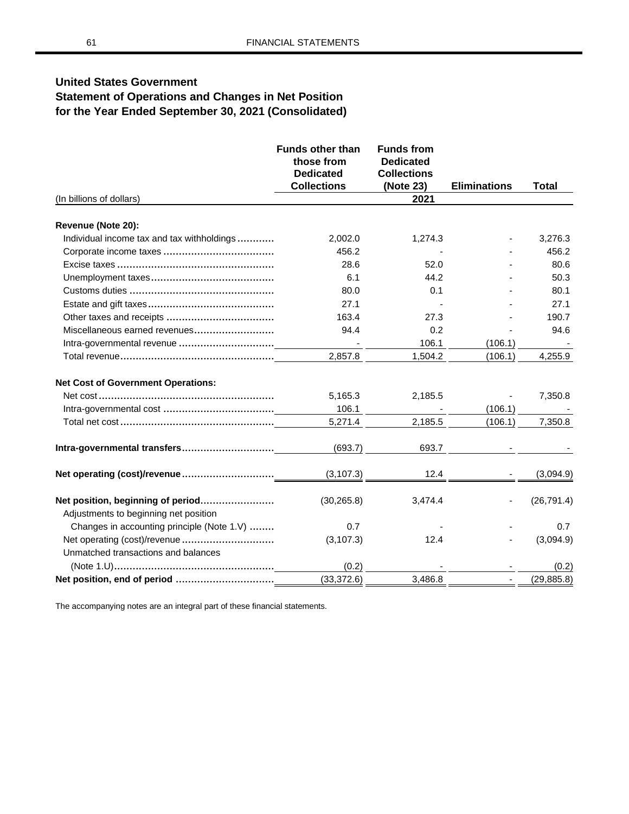### **United States Government Statement of Operations and Changes in Net Position** for the Year Ended September 30, 2021 (Consolidated)

|                                            | <b>Funds other than</b><br>those from<br><b>Dedicated</b><br><b>Collections</b> | <b>Funds from</b><br><b>Dedicated</b><br><b>Collections</b><br>(Note 23) | <b>Eliminations</b> | <b>Total</b> |
|--------------------------------------------|---------------------------------------------------------------------------------|--------------------------------------------------------------------------|---------------------|--------------|
| (In billions of dollars)                   |                                                                                 | 2021                                                                     |                     |              |
| Revenue (Note 20):                         |                                                                                 |                                                                          |                     |              |
| Individual income tax and tax withholdings | 2,002.0                                                                         | 1,274.3                                                                  |                     | 3,276.3      |
|                                            | 456.2                                                                           |                                                                          |                     | 456.2        |
|                                            | 28.6                                                                            | 52.0                                                                     |                     | 80.6         |
|                                            | 6.1                                                                             | 44.2                                                                     |                     | 50.3         |
|                                            | 80.0                                                                            | 0.1                                                                      |                     | 80.1         |
|                                            | 27.1                                                                            |                                                                          |                     | 27.1         |
|                                            | 163.4                                                                           | 27.3                                                                     |                     | 190.7        |
| Miscellaneous earned revenues              | 94.4                                                                            | 0.2                                                                      |                     | 94.6         |
|                                            |                                                                                 | 106.1                                                                    | (106.1)             |              |
|                                            | 2,857.8                                                                         | 1,504.2                                                                  | (106.1)             | 4,255.9      |
| <b>Net Cost of Government Operations:</b>  |                                                                                 |                                                                          |                     |              |
|                                            | 5,165.3                                                                         | 2,185.5                                                                  |                     | 7,350.8      |
|                                            | 106.1                                                                           |                                                                          | (106.1)             |              |
|                                            | 5,271.4                                                                         | 2,185.5                                                                  | (106.1)             | 7,350.8      |
| Intra-governmental transfers               | (693.7)                                                                         | 693.7                                                                    |                     |              |
|                                            | (3, 107.3)                                                                      | 12.4                                                                     |                     | (3,094.9)    |
| Net position, beginning of period          | (30, 265.8)                                                                     | 3,474.4                                                                  |                     | (26, 791.4)  |
| Adjustments to beginning net position      |                                                                                 |                                                                          |                     |              |
| Changes in accounting principle (Note 1.V) | 0.7                                                                             |                                                                          |                     | 0.7          |
|                                            | (3, 107.3)                                                                      | 12.4                                                                     |                     | (3,094.9)    |
| Unmatched transactions and balances        |                                                                                 |                                                                          |                     |              |
|                                            | (0.2)                                                                           |                                                                          |                     | (0.2)        |
| Net position, end of period                | (33, 372.6)                                                                     | 3,486.8                                                                  | ÷,                  | (29, 885.8)  |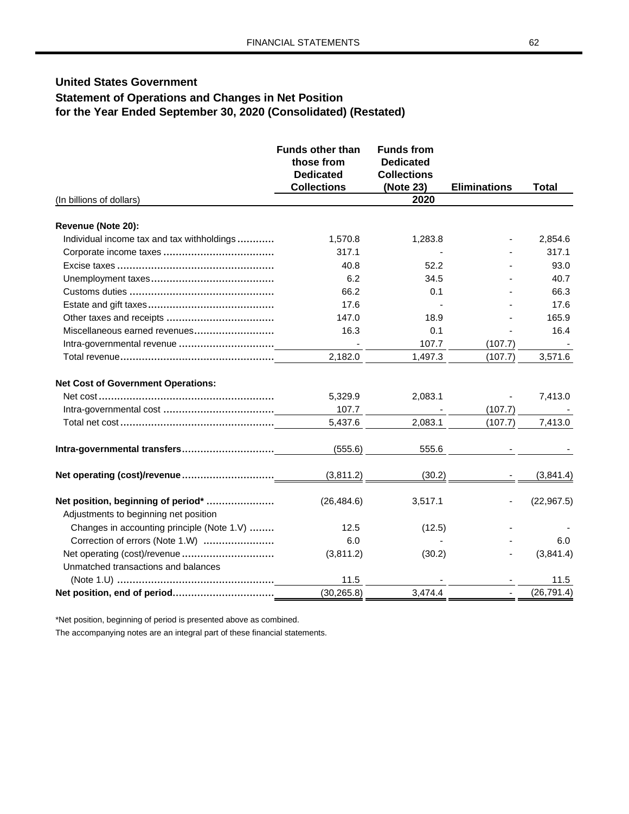### **United States Government Statement of Operations and Changes in Net Position** for the Year Ended September 30, 2020 (Consolidated) (Restated)

|                                            | <b>Funds other than</b><br>those from<br><b>Dedicated</b><br><b>Collections</b> | <b>Funds from</b><br><b>Dedicated</b><br><b>Collections</b><br>(Note 23) | <b>Eliminations</b> | <b>Total</b>        |
|--------------------------------------------|---------------------------------------------------------------------------------|--------------------------------------------------------------------------|---------------------|---------------------|
| (In billions of dollars)                   |                                                                                 | 2020                                                                     |                     |                     |
| Revenue (Note 20):                         |                                                                                 |                                                                          |                     |                     |
| Individual income tax and tax withholdings | 1,570.8                                                                         | 1,283.8                                                                  |                     | 2,854.6             |
|                                            | 317.1                                                                           |                                                                          |                     | 317.1               |
|                                            | 40.8                                                                            | 52.2                                                                     |                     | 93.0                |
|                                            | 6.2                                                                             | 34.5                                                                     |                     | 40.7                |
|                                            | 66.2                                                                            | 0.1                                                                      |                     | 66.3                |
|                                            | 17.6                                                                            |                                                                          |                     | 17.6                |
|                                            | 147.0                                                                           | 18.9                                                                     |                     | 165.9               |
| Miscellaneous earned revenues              | 16.3                                                                            | 0.1                                                                      |                     | 16.4                |
|                                            |                                                                                 | 107.7                                                                    | (107.7)             |                     |
|                                            | 2,182.0                                                                         | 1,497.3                                                                  | (107.7)             | 3,571.6             |
| <b>Net Cost of Government Operations:</b>  |                                                                                 |                                                                          |                     |                     |
|                                            | 5,329.9                                                                         | 2,083.1                                                                  |                     | 7,413.0             |
|                                            | 107.7                                                                           |                                                                          | (107.7)             |                     |
|                                            | 5,437.6                                                                         | 2,083.1                                                                  | (107.7)             | 7,413.0             |
|                                            | (555.6)                                                                         | 555.6                                                                    |                     |                     |
|                                            | (3,811.2)                                                                       | (30.2)                                                                   |                     | (3,841.4)           |
| Net position, beginning of period*         | (26, 484.6)                                                                     | 3,517.1                                                                  |                     | (22, 967.5)         |
| Adjustments to beginning net position      |                                                                                 |                                                                          |                     |                     |
| Changes in accounting principle (Note 1.V) | 12.5                                                                            | (12.5)                                                                   |                     |                     |
| Correction of errors (Note 1.W)            | 6.0                                                                             |                                                                          |                     | 6.0                 |
| Net operating (cost)/revenue               | (3,811.2)                                                                       | (30.2)                                                                   |                     | (3,841.4)           |
| Unmatched transactions and balances        |                                                                                 |                                                                          |                     |                     |
|                                            | 11.5                                                                            | 3,474.4                                                                  |                     | 11.5<br>(26, 791.4) |
| Net position, end of period                | (30, 265.8)                                                                     |                                                                          |                     |                     |

\*Net position, beginning of period is presented above as combined.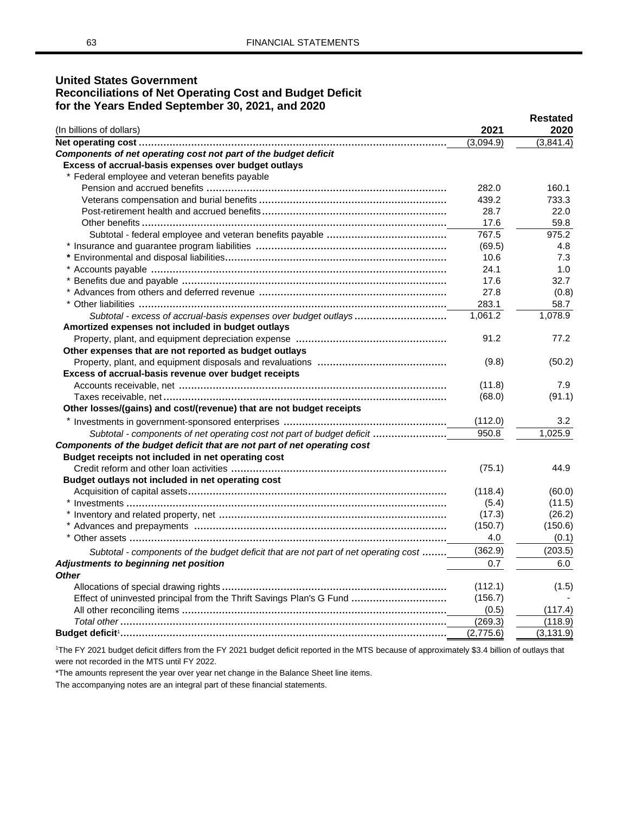#### **United States Government** Reconciliations of Net Operating Cost and Budget Deficit for the Years Ended September 30, 2021, and 2020

|                                                                                     |           | <b>Restated</b>        |
|-------------------------------------------------------------------------------------|-----------|------------------------|
| (In billions of dollars)                                                            | 2021      | 2020                   |
|                                                                                     | (3,094.9) | $\overline{(3,841.4)}$ |
| Components of net operating cost not part of the budget deficit                     |           |                        |
| Excess of accrual-basis expenses over budget outlays                                |           |                        |
| * Federal employee and veteran benefits payable                                     |           |                        |
|                                                                                     | 282.0     | 160.1                  |
|                                                                                     | 439.2     | 733.3                  |
|                                                                                     | 28.7      | 22.0                   |
|                                                                                     | 17.6      | 59.8                   |
|                                                                                     | 767.5     | 975.2                  |
|                                                                                     | (69.5)    | 4.8                    |
|                                                                                     | 10.6      | 7.3                    |
|                                                                                     | 24.1      | 1.0                    |
|                                                                                     | 17.6      | 32.7                   |
|                                                                                     | 27.8      | (0.8)                  |
|                                                                                     | 283.1     | 58.7                   |
|                                                                                     | 1,061.2   | 1,078.9                |
| Amortized expenses not included in budget outlays                                   |           |                        |
|                                                                                     | 91.2      | 77.2                   |
| Other expenses that are not reported as budget outlays                              |           |                        |
|                                                                                     | (9.8)     | (50.2)                 |
| <b>Excess of accrual-basis revenue over budget receipts</b>                         |           |                        |
|                                                                                     | (11.8)    | 7.9                    |
|                                                                                     | (68.0)    | (91.1)                 |
| Other losses/(gains) and cost/(revenue) that are not budget receipts                |           |                        |
|                                                                                     | (112.0)   | 3.2                    |
| Subtotal - components of net operating cost not part of budget deficit              | 950.8     | 1,025.9                |
| Components of the budget deficit that are not part of net operating cost            |           |                        |
| Budget receipts not included in net operating cost                                  |           |                        |
|                                                                                     |           | 44.9                   |
|                                                                                     | (75.1)    |                        |
| Budget outlays not included in net operating cost                                   | (118.4)   |                        |
|                                                                                     |           | (60.0)                 |
|                                                                                     | (5.4)     | (11.5)                 |
|                                                                                     | (17.3)    | (26.2)                 |
|                                                                                     | (150.7)   | (150.6)                |
|                                                                                     | 4.0       | (0.1)                  |
| Subtotal - components of the budget deficit that are not part of net operating cost | (362.9)   | (203.5)                |
| Adjustments to beginning net position                                               | 0.7       | 6.0                    |
| <b>Other</b>                                                                        |           |                        |
|                                                                                     | (112.1)   | (1.5)                  |
| Effect of uninvested principal from the Thrift Savings Plan's G Fund                | (156.7)   |                        |
|                                                                                     | (0.5)     | (117.4)                |
|                                                                                     | (269.3)   | (118.9)                |
|                                                                                     | (2,775.6) | (3, 131.9)             |

<sup>1</sup>The FY 2021 budget deficit differs from the FY 2021 budget deficit reported in the MTS because of approximately \$3.4 billion of outlays that were not recorded in the MTS until FY 2022.

\*The amounts represent the year over year net change in the Balance Sheet line items.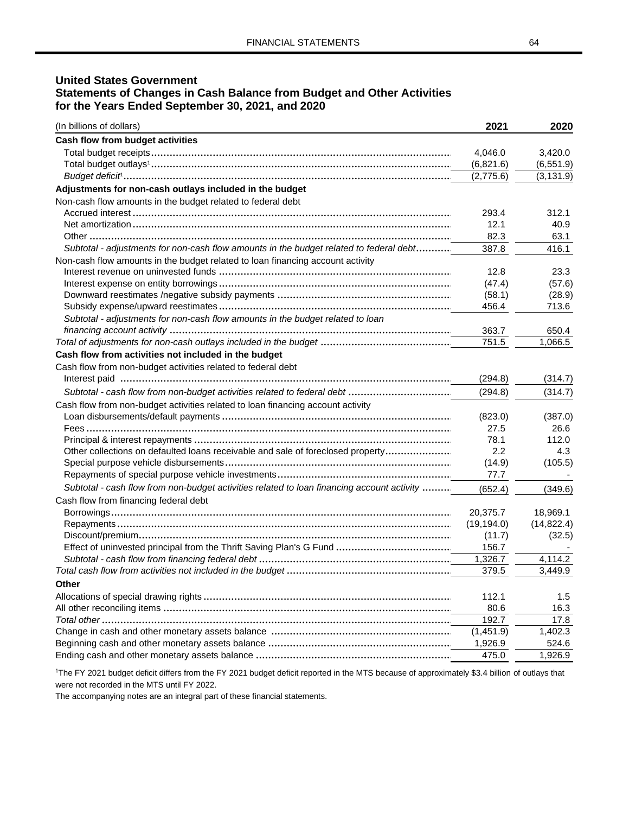### **United States Government** Statements of Changes in Cash Balance from Budget and Other Activities for the Years Ended September 30, 2021, and 2020

| Cash flow from budget activities<br>4,046.0<br>3,420.0<br>(6,821.6)<br>(6, 551.9)<br>(2,775.6)<br>(3, 131.9)<br>Adjustments for non-cash outlays included in the budget<br>Non-cash flow amounts in the budget related to federal debt<br>293.4<br>312.1<br>12.1<br>40.9<br>82.3<br>63.1<br>Subtotal - adjustments for non-cash flow amounts in the budget related to federal debt<br>387.8<br>416.1<br>Non-cash flow amounts in the budget related to loan financing account activity<br>12.8<br>23.3<br>(57.6)<br>(47.4)<br>(58.1)<br>(28.9)<br>456.4<br>713.6<br>Subtotal - adjustments for non-cash flow amounts in the budget related to loan<br>363.7<br>650.4<br>751.5<br>1.066.5<br>Cash flow from activities not included in the budget<br>Cash flow from non-budget activities related to federal debt<br>(294.8)<br>(314.7)<br>Subtotal - cash flow from non-budget activities related to federal debt<br>(294.8)<br>(314.7)<br>Cash flow from non-budget activities related to loan financing account activity<br>(823.0)<br>(387.0)<br>27.5<br>26.6<br>78.1<br>112.0<br>Other collections on defaulted loans receivable and sale of foreclosed property<br>2.2<br>4.3<br>(14.9)<br>(105.5)<br>77.7<br>Subtotal - cash flow from non-budget activities related to loan financing account activity<br>(652.4)<br>(349.6)<br>Cash flow from financing federal debt<br>20,375.7<br>18,969.1<br>(19, 194.0)<br>(14, 822.4)<br>(11.7)<br>(32.5)<br>156.7<br>1,326.7<br>4,114.2<br>379.5<br>3,449.9<br>Other<br>112.1<br>1.5<br>80.6<br>16.3<br>192.7<br>17.8<br>(1,451.9)<br>1,402.3<br>524.6<br>1,926.9 | (In billions of dollars) | 2021  | 2020    |
|-----------------------------------------------------------------------------------------------------------------------------------------------------------------------------------------------------------------------------------------------------------------------------------------------------------------------------------------------------------------------------------------------------------------------------------------------------------------------------------------------------------------------------------------------------------------------------------------------------------------------------------------------------------------------------------------------------------------------------------------------------------------------------------------------------------------------------------------------------------------------------------------------------------------------------------------------------------------------------------------------------------------------------------------------------------------------------------------------------------------------------------------------------------------------------------------------------------------------------------------------------------------------------------------------------------------------------------------------------------------------------------------------------------------------------------------------------------------------------------------------------------------------------------------------------------------------------------------------------------------|--------------------------|-------|---------|
|                                                                                                                                                                                                                                                                                                                                                                                                                                                                                                                                                                                                                                                                                                                                                                                                                                                                                                                                                                                                                                                                                                                                                                                                                                                                                                                                                                                                                                                                                                                                                                                                                 |                          |       |         |
|                                                                                                                                                                                                                                                                                                                                                                                                                                                                                                                                                                                                                                                                                                                                                                                                                                                                                                                                                                                                                                                                                                                                                                                                                                                                                                                                                                                                                                                                                                                                                                                                                 |                          |       |         |
|                                                                                                                                                                                                                                                                                                                                                                                                                                                                                                                                                                                                                                                                                                                                                                                                                                                                                                                                                                                                                                                                                                                                                                                                                                                                                                                                                                                                                                                                                                                                                                                                                 |                          |       |         |
|                                                                                                                                                                                                                                                                                                                                                                                                                                                                                                                                                                                                                                                                                                                                                                                                                                                                                                                                                                                                                                                                                                                                                                                                                                                                                                                                                                                                                                                                                                                                                                                                                 |                          |       |         |
|                                                                                                                                                                                                                                                                                                                                                                                                                                                                                                                                                                                                                                                                                                                                                                                                                                                                                                                                                                                                                                                                                                                                                                                                                                                                                                                                                                                                                                                                                                                                                                                                                 |                          |       |         |
|                                                                                                                                                                                                                                                                                                                                                                                                                                                                                                                                                                                                                                                                                                                                                                                                                                                                                                                                                                                                                                                                                                                                                                                                                                                                                                                                                                                                                                                                                                                                                                                                                 |                          |       |         |
|                                                                                                                                                                                                                                                                                                                                                                                                                                                                                                                                                                                                                                                                                                                                                                                                                                                                                                                                                                                                                                                                                                                                                                                                                                                                                                                                                                                                                                                                                                                                                                                                                 |                          |       |         |
|                                                                                                                                                                                                                                                                                                                                                                                                                                                                                                                                                                                                                                                                                                                                                                                                                                                                                                                                                                                                                                                                                                                                                                                                                                                                                                                                                                                                                                                                                                                                                                                                                 |                          |       |         |
|                                                                                                                                                                                                                                                                                                                                                                                                                                                                                                                                                                                                                                                                                                                                                                                                                                                                                                                                                                                                                                                                                                                                                                                                                                                                                                                                                                                                                                                                                                                                                                                                                 |                          |       |         |
|                                                                                                                                                                                                                                                                                                                                                                                                                                                                                                                                                                                                                                                                                                                                                                                                                                                                                                                                                                                                                                                                                                                                                                                                                                                                                                                                                                                                                                                                                                                                                                                                                 |                          |       |         |
|                                                                                                                                                                                                                                                                                                                                                                                                                                                                                                                                                                                                                                                                                                                                                                                                                                                                                                                                                                                                                                                                                                                                                                                                                                                                                                                                                                                                                                                                                                                                                                                                                 |                          |       |         |
|                                                                                                                                                                                                                                                                                                                                                                                                                                                                                                                                                                                                                                                                                                                                                                                                                                                                                                                                                                                                                                                                                                                                                                                                                                                                                                                                                                                                                                                                                                                                                                                                                 |                          |       |         |
|                                                                                                                                                                                                                                                                                                                                                                                                                                                                                                                                                                                                                                                                                                                                                                                                                                                                                                                                                                                                                                                                                                                                                                                                                                                                                                                                                                                                                                                                                                                                                                                                                 |                          |       |         |
|                                                                                                                                                                                                                                                                                                                                                                                                                                                                                                                                                                                                                                                                                                                                                                                                                                                                                                                                                                                                                                                                                                                                                                                                                                                                                                                                                                                                                                                                                                                                                                                                                 |                          |       |         |
|                                                                                                                                                                                                                                                                                                                                                                                                                                                                                                                                                                                                                                                                                                                                                                                                                                                                                                                                                                                                                                                                                                                                                                                                                                                                                                                                                                                                                                                                                                                                                                                                                 |                          |       |         |
|                                                                                                                                                                                                                                                                                                                                                                                                                                                                                                                                                                                                                                                                                                                                                                                                                                                                                                                                                                                                                                                                                                                                                                                                                                                                                                                                                                                                                                                                                                                                                                                                                 |                          |       |         |
|                                                                                                                                                                                                                                                                                                                                                                                                                                                                                                                                                                                                                                                                                                                                                                                                                                                                                                                                                                                                                                                                                                                                                                                                                                                                                                                                                                                                                                                                                                                                                                                                                 |                          |       |         |
|                                                                                                                                                                                                                                                                                                                                                                                                                                                                                                                                                                                                                                                                                                                                                                                                                                                                                                                                                                                                                                                                                                                                                                                                                                                                                                                                                                                                                                                                                                                                                                                                                 |                          |       |         |
|                                                                                                                                                                                                                                                                                                                                                                                                                                                                                                                                                                                                                                                                                                                                                                                                                                                                                                                                                                                                                                                                                                                                                                                                                                                                                                                                                                                                                                                                                                                                                                                                                 |                          |       |         |
|                                                                                                                                                                                                                                                                                                                                                                                                                                                                                                                                                                                                                                                                                                                                                                                                                                                                                                                                                                                                                                                                                                                                                                                                                                                                                                                                                                                                                                                                                                                                                                                                                 |                          |       |         |
|                                                                                                                                                                                                                                                                                                                                                                                                                                                                                                                                                                                                                                                                                                                                                                                                                                                                                                                                                                                                                                                                                                                                                                                                                                                                                                                                                                                                                                                                                                                                                                                                                 |                          |       |         |
|                                                                                                                                                                                                                                                                                                                                                                                                                                                                                                                                                                                                                                                                                                                                                                                                                                                                                                                                                                                                                                                                                                                                                                                                                                                                                                                                                                                                                                                                                                                                                                                                                 |                          |       |         |
|                                                                                                                                                                                                                                                                                                                                                                                                                                                                                                                                                                                                                                                                                                                                                                                                                                                                                                                                                                                                                                                                                                                                                                                                                                                                                                                                                                                                                                                                                                                                                                                                                 |                          |       |         |
|                                                                                                                                                                                                                                                                                                                                                                                                                                                                                                                                                                                                                                                                                                                                                                                                                                                                                                                                                                                                                                                                                                                                                                                                                                                                                                                                                                                                                                                                                                                                                                                                                 |                          |       |         |
|                                                                                                                                                                                                                                                                                                                                                                                                                                                                                                                                                                                                                                                                                                                                                                                                                                                                                                                                                                                                                                                                                                                                                                                                                                                                                                                                                                                                                                                                                                                                                                                                                 |                          |       |         |
|                                                                                                                                                                                                                                                                                                                                                                                                                                                                                                                                                                                                                                                                                                                                                                                                                                                                                                                                                                                                                                                                                                                                                                                                                                                                                                                                                                                                                                                                                                                                                                                                                 |                          |       |         |
|                                                                                                                                                                                                                                                                                                                                                                                                                                                                                                                                                                                                                                                                                                                                                                                                                                                                                                                                                                                                                                                                                                                                                                                                                                                                                                                                                                                                                                                                                                                                                                                                                 |                          |       |         |
|                                                                                                                                                                                                                                                                                                                                                                                                                                                                                                                                                                                                                                                                                                                                                                                                                                                                                                                                                                                                                                                                                                                                                                                                                                                                                                                                                                                                                                                                                                                                                                                                                 |                          |       |         |
|                                                                                                                                                                                                                                                                                                                                                                                                                                                                                                                                                                                                                                                                                                                                                                                                                                                                                                                                                                                                                                                                                                                                                                                                                                                                                                                                                                                                                                                                                                                                                                                                                 |                          |       |         |
|                                                                                                                                                                                                                                                                                                                                                                                                                                                                                                                                                                                                                                                                                                                                                                                                                                                                                                                                                                                                                                                                                                                                                                                                                                                                                                                                                                                                                                                                                                                                                                                                                 |                          |       |         |
|                                                                                                                                                                                                                                                                                                                                                                                                                                                                                                                                                                                                                                                                                                                                                                                                                                                                                                                                                                                                                                                                                                                                                                                                                                                                                                                                                                                                                                                                                                                                                                                                                 |                          |       |         |
|                                                                                                                                                                                                                                                                                                                                                                                                                                                                                                                                                                                                                                                                                                                                                                                                                                                                                                                                                                                                                                                                                                                                                                                                                                                                                                                                                                                                                                                                                                                                                                                                                 |                          |       |         |
|                                                                                                                                                                                                                                                                                                                                                                                                                                                                                                                                                                                                                                                                                                                                                                                                                                                                                                                                                                                                                                                                                                                                                                                                                                                                                                                                                                                                                                                                                                                                                                                                                 |                          |       |         |
|                                                                                                                                                                                                                                                                                                                                                                                                                                                                                                                                                                                                                                                                                                                                                                                                                                                                                                                                                                                                                                                                                                                                                                                                                                                                                                                                                                                                                                                                                                                                                                                                                 |                          |       |         |
|                                                                                                                                                                                                                                                                                                                                                                                                                                                                                                                                                                                                                                                                                                                                                                                                                                                                                                                                                                                                                                                                                                                                                                                                                                                                                                                                                                                                                                                                                                                                                                                                                 |                          |       |         |
|                                                                                                                                                                                                                                                                                                                                                                                                                                                                                                                                                                                                                                                                                                                                                                                                                                                                                                                                                                                                                                                                                                                                                                                                                                                                                                                                                                                                                                                                                                                                                                                                                 |                          |       |         |
|                                                                                                                                                                                                                                                                                                                                                                                                                                                                                                                                                                                                                                                                                                                                                                                                                                                                                                                                                                                                                                                                                                                                                                                                                                                                                                                                                                                                                                                                                                                                                                                                                 |                          |       |         |
|                                                                                                                                                                                                                                                                                                                                                                                                                                                                                                                                                                                                                                                                                                                                                                                                                                                                                                                                                                                                                                                                                                                                                                                                                                                                                                                                                                                                                                                                                                                                                                                                                 |                          |       |         |
|                                                                                                                                                                                                                                                                                                                                                                                                                                                                                                                                                                                                                                                                                                                                                                                                                                                                                                                                                                                                                                                                                                                                                                                                                                                                                                                                                                                                                                                                                                                                                                                                                 |                          |       |         |
|                                                                                                                                                                                                                                                                                                                                                                                                                                                                                                                                                                                                                                                                                                                                                                                                                                                                                                                                                                                                                                                                                                                                                                                                                                                                                                                                                                                                                                                                                                                                                                                                                 |                          |       |         |
|                                                                                                                                                                                                                                                                                                                                                                                                                                                                                                                                                                                                                                                                                                                                                                                                                                                                                                                                                                                                                                                                                                                                                                                                                                                                                                                                                                                                                                                                                                                                                                                                                 |                          |       |         |
|                                                                                                                                                                                                                                                                                                                                                                                                                                                                                                                                                                                                                                                                                                                                                                                                                                                                                                                                                                                                                                                                                                                                                                                                                                                                                                                                                                                                                                                                                                                                                                                                                 |                          |       |         |
|                                                                                                                                                                                                                                                                                                                                                                                                                                                                                                                                                                                                                                                                                                                                                                                                                                                                                                                                                                                                                                                                                                                                                                                                                                                                                                                                                                                                                                                                                                                                                                                                                 |                          |       |         |
|                                                                                                                                                                                                                                                                                                                                                                                                                                                                                                                                                                                                                                                                                                                                                                                                                                                                                                                                                                                                                                                                                                                                                                                                                                                                                                                                                                                                                                                                                                                                                                                                                 |                          | 475.0 | 1,926.9 |

<sup>1</sup>The FY 2021 budget deficit differs from the FY 2021 budget deficit reported in the MTS because of approximately \$3.4 billion of outlays that were not recorded in the MTS until FY 2022.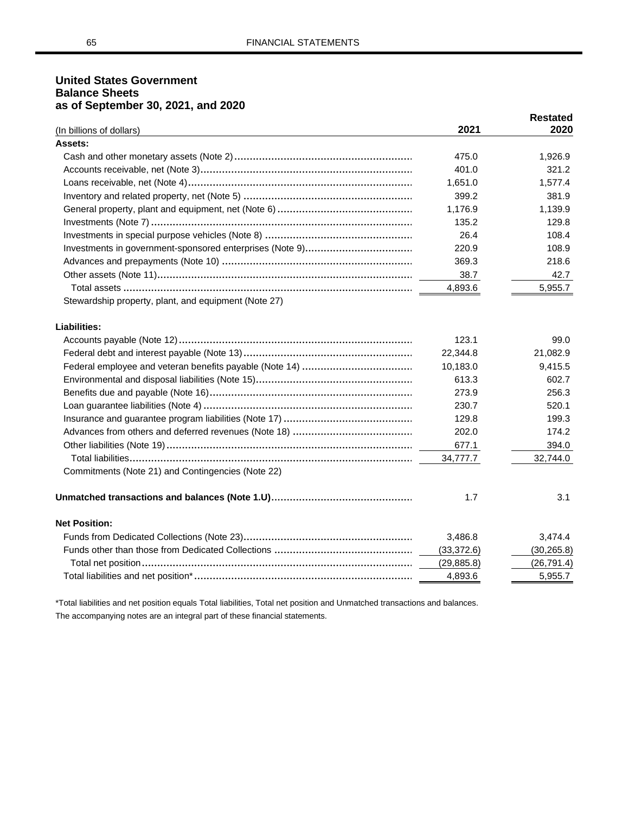#### **United States Government Balance Sheets** as of September 30, 2021, and 2020

|             | <b>Restated</b> |
|-------------|-----------------|
| 2021        | 2020            |
|             |                 |
| 475.0       | 1,926.9         |
| 401.0       | 321.2           |
| 1,651.0     | 1,577.4         |
| 399.2       | 381.9           |
| 1,176.9     | 1,139.9         |
| 135.2       | 129.8           |
| 26.4        | 108.4           |
| 220.9       | 108.9           |
| 369.3       | 218.6           |
| 38.7        | 42.7            |
| 4,893.6     | 5,955.7         |
|             |                 |
|             |                 |
| 123.1       | 99.0            |
| 22,344.8    | 21,082.9        |
| 10,183.0    | 9,415.5         |
| 613.3       | 602.7           |
| 273.9       | 256.3           |
| 230.7       | 520.1           |
| 129.8       | 199.3           |
| 202.0       | 174.2           |
| 677.1       | 394.0           |
| 34,777.7    | 32,744.0        |
|             |                 |
| 1.7         | 3.1             |
|             |                 |
| 3,486.8     | 3,474.4         |
| (33, 372.6) | (30, 265.8)     |
| (29, 885.8) | (26, 791.4)     |
| 4,893.6     | 5,955.7         |
|             |                 |

\*Total liabilities and net position equals Total liabilities, Total net position and Unmatched transactions and balances. The accompanying notes are an integral part of these financial statements.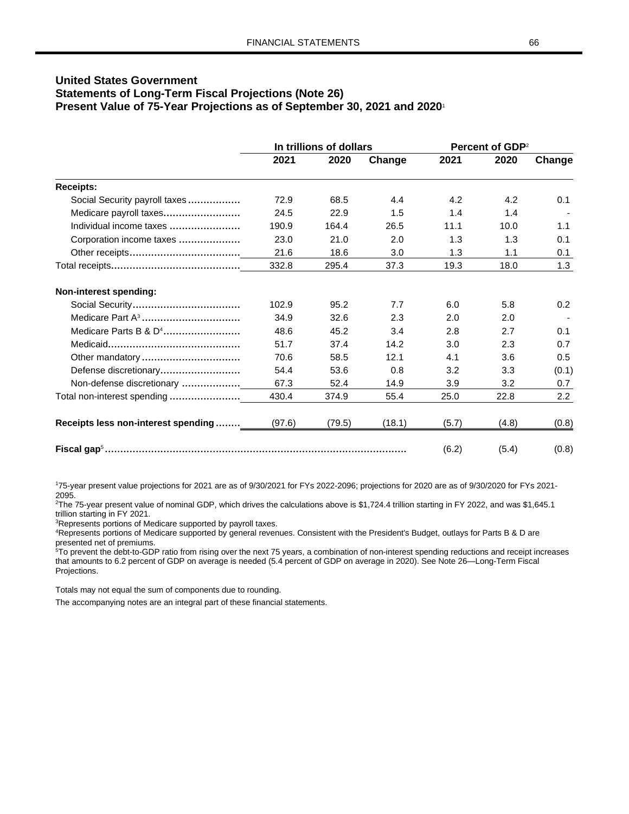#### **United States Government Statements of Long-Term Fiscal Projections (Note 26) Present Value of 75-Year Projections as of September 30, 2021 and 2020**<sup>1</sup>

|                                     |        | In trillions of dollars |        | Percent of GDP <sup>2</sup> |       |        |  |
|-------------------------------------|--------|-------------------------|--------|-----------------------------|-------|--------|--|
|                                     | 2021   | 2020                    | Change | 2021                        | 2020  | Change |  |
| <b>Receipts:</b>                    |        |                         |        |                             |       |        |  |
| Social Security payroll taxes       | 72.9   | 68.5                    | 4.4    | 4.2                         | 4.2   | 0.1    |  |
| Medicare payroll taxes              | 24.5   | 22.9                    | 1.5    | 1.4                         | 1.4   |        |  |
| Individual income taxes             | 190.9  | 164.4                   | 26.5   | 11.1                        | 10.0  | 1.1    |  |
| Corporation income taxes            | 23.0   | 21.0                    | 2.0    | 1.3                         | 1.3   | 0.1    |  |
|                                     | 21.6   | 18.6                    | 3.0    | 1.3                         | 1.1   | 0.1    |  |
|                                     | 332.8  | 295.4                   | 37.3   | 19.3                        | 18.0  | 1.3    |  |
| Non-interest spending:              |        |                         |        |                             |       |        |  |
|                                     | 102.9  | 95.2                    | 7.7    | 6.0                         | 5.8   | 0.2    |  |
|                                     | 34.9   | 32.6                    | 2.3    | 2.0                         | 2.0   |        |  |
| Medicare Parts B & D <sup>4</sup>   | 48.6   | 45.2                    | 3.4    | 2.8                         | 2.7   | 0.1    |  |
|                                     | 51.7   | 37.4                    | 14.2   | 3.0                         | 2.3   | 0.7    |  |
| Other mandatory                     | 70.6   | 58.5                    | 12.1   | 4.1                         | 3.6   | 0.5    |  |
|                                     | 54.4   | 53.6                    | 0.8    | 3.2                         | 3.3   | (0.1)  |  |
| Non-defense discretionary           | 67.3   | 52.4                    | 14.9   | 3.9                         | 3.2   | 0.7    |  |
| Total non-interest spending         | 430.4  | 374.9                   | 55.4   | 25.0                        | 22.8  | 2.2    |  |
| Receipts less non-interest spending | (97.6) | (79.5)                  | (18.1) | (5.7)                       | (4.8) | (0.8)  |  |
|                                     |        |                         |        | (6.2)                       | (5.4) | (0.8)  |  |

<sup>1</sup>75-year present value projections for 2021 are as of 9/30/2021 for FYs 2022-2096; projections for 2020 are as of 9/30/2020 for FYs 2021- 2095.

 $2$ The 75-year present value of nominal GDP, which drives the calculations above is \$1,724.4 trillion starting in FY 2022, and was \$1,645.1 trillion starting in FY 2021.

<sup>3</sup>Represents portions of Medicare supported by payroll taxes.

<sup>4</sup>Represents portions of Medicare supported by general revenues. Consistent with the President's Budget, outlays for Parts B & D are presented net of premiums.

<sup>5</sup>To prevent the debt-to-GDP ratio from rising over the next 75 years, a combination of non-interest spending reductions and receipt increases that amounts to 6.2 percent of GDP on average is needed (5.4 percent of GDP on average in 2020). See Note 26—Long-Term Fiscal Projections.

Totals may not equal the sum of components due to rounding.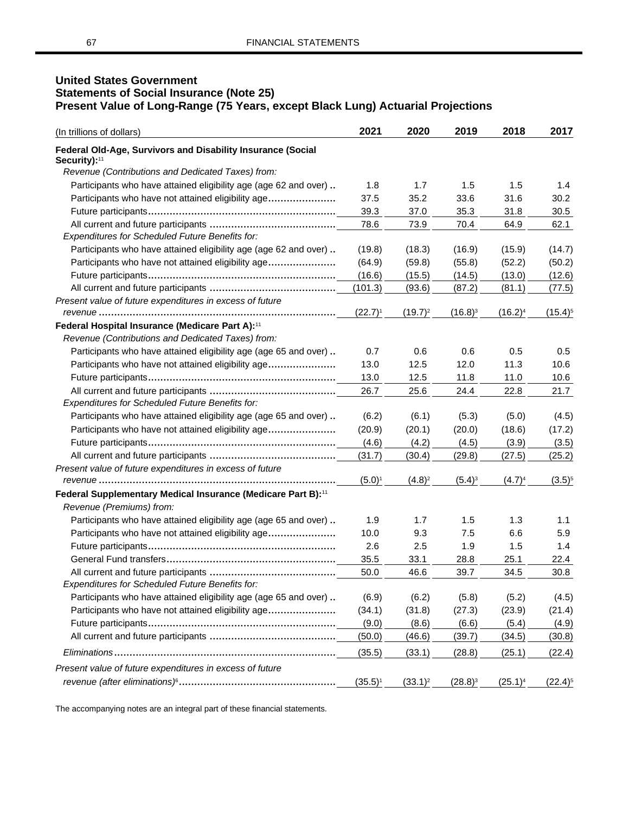### **United States Government Statements of Social Insurance (Note 25) Present Value of Long-Range (75 Years, except Black Lung) Actuarial Projections**

| (In trillions of dollars)                                                | 2021         | 2020       | 2019       | 2018       | 2017       |
|--------------------------------------------------------------------------|--------------|------------|------------|------------|------------|
| Federal Old-Age, Survivors and Disability Insurance (Social              |              |            |            |            |            |
| Security): <sup>11</sup>                                                 |              |            |            |            |            |
| Revenue (Contributions and Dedicated Taxes) from:                        |              |            |            |            |            |
| Participants who have attained eligibility age (age 62 and over)         | 1.8          | 1.7        | 1.5        | 1.5        | 1.4        |
| Participants who have not attained eligibility age                       | 37.5         | 35.2       | 33.6       | 31.6       | 30.2       |
|                                                                          | 39.3         | 37.0       | 35.3       | 31.8       | 30.5       |
|                                                                          | 78.6         | 73.9       | 70.4       | 64.9       | 62.1       |
| Expenditures for Scheduled Future Benefits for:                          |              |            |            |            |            |
| Participants who have attained eligibility age (age 62 and over)         | (19.8)       | (18.3)     | (16.9)     | (15.9)     | (14.7)     |
| Participants who have not attained eligibility age                       | (64.9)       | (59.8)     | (55.8)     | (52.2)     | (50.2)     |
|                                                                          | (16.6)       | (15.5)     | (14.5)     | (13.0)     | (12.6)     |
|                                                                          | (101.3)      | (93.6)     | (87.2)     | (81.1)     | (77.5)     |
| Present value of future expenditures in excess of future                 |              |            |            |            |            |
|                                                                          | $(22.7)^{1}$ | $(19.7)^2$ | $(16.8)^3$ | $(16.2)^4$ | $(15.4)^5$ |
| Federal Hospital Insurance (Medicare Part A): <sup>11</sup>              |              |            |            |            |            |
| Revenue (Contributions and Dedicated Taxes) from:                        |              |            |            |            |            |
| Participants who have attained eligibility age (age 65 and over)         | 0.7          | 0.6        | 0.6        | 0.5        | 0.5        |
| Participants who have not attained eligibility age                       | 13.0         | 12.5       | 12.0       | 11.3       | 10.6       |
|                                                                          | 13.0         | 12.5       | 11.8       | 11.0       | 10.6       |
|                                                                          | 26.7         | 25.6       | 24.4       | 22.8       | 21.7       |
| Expenditures for Scheduled Future Benefits for:                          |              |            |            |            |            |
| Participants who have attained eligibility age (age 65 and over)         | (6.2)        | (6.1)      | (5.3)      | (5.0)      | (4.5)      |
| Participants who have not attained eligibility age                       | (20.9)       | (20.1)     | (20.0)     | (18.6)     | (17.2)     |
|                                                                          | (4.6)        | (4.2)      | (4.5)      | (3.9)      | (3.5)      |
|                                                                          | (31.7)       | (30.4)     | (29.8)     | (27.5)     | (25.2)     |
| Present value of future expenditures in excess of future                 |              |            |            |            |            |
|                                                                          | $(5.0)^1$    | $(4.8)^2$  | $(5.4)^3$  | $(4.7)^4$  | $(3.5)^5$  |
| Federal Supplementary Medical Insurance (Medicare Part B): <sup>11</sup> |              |            |            |            |            |
| Revenue (Premiums) from:                                                 |              |            |            |            |            |
| Participants who have attained eligibility age (age 65 and over)         | 1.9          | 1.7        | 1.5        | 1.3        | 1.1        |
| Participants who have not attained eligibility age                       | 10.0         | 9.3        | 7.5        | 6.6        | 5.9        |
|                                                                          | 2.6          | 2.5        | 1.9        | 1.5        | 1.4        |
|                                                                          | 35.5         | 33.1       | 28.8       | 25.1       | 22.4       |
|                                                                          | 50.0         | 46.6       | 39.7       | 34.5       | 30.8       |
| Expenditures for Scheduled Future Benefits for:                          |              |            |            |            |            |
| Participants who have attained eligibility age (age 65 and over)         | (6.9)        | (6.2)      | (5.8)      | (5.2)      | (4.5)      |
| Participants who have not attained eligibility age                       | (34.1)       | (31.8)     | (27.3)     | (23.9)     | (21.4)     |
|                                                                          | (9.0)        |            |            |            |            |
|                                                                          |              | (8.6)      | (6.6)      | (5.4)      | (4.9)      |
|                                                                          | (50.0)       | (46.6)     | (39.7)     | (34.5)     | (30.8)     |
|                                                                          | (35.5)       | (33.1)     | (28.8)     | (25.1)     | (22.4)     |
| Present value of future expenditures in excess of future                 |              |            |            |            |            |
|                                                                          | $(35.5)^{1}$ | $(33.1)^2$ | $(28.8)^3$ | $(25.1)^4$ | $(22.4)^5$ |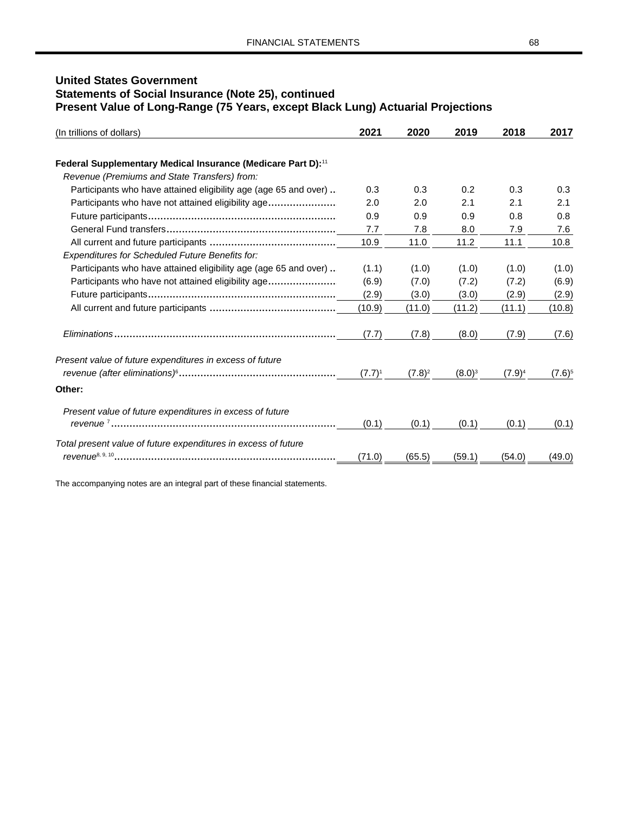### **United States Government Statements of Social Insurance (Note 25), continued Present Value of Long-Range (75 Years, except Black Lung) Actuarial Projections**

| (In trillions of dollars)                                                       | 2021      | 2020      | 2019      | 2018      | 2017      |
|---------------------------------------------------------------------------------|-----------|-----------|-----------|-----------|-----------|
| <b>Federal Supplementary Medical Insurance (Medicare Part D):</b> <sup>11</sup> |           |           |           |           |           |
| Revenue (Premiums and State Transfers) from:                                    |           |           |           |           |           |
| Participants who have attained eligibility age (age 65 and over)                | 0.3       | 0.3       | 0.2       | 0.3       | 0.3       |
| Participants who have not attained eligibility age                              | 2.0       | 2.0       | 2.1       | 2.1       | 2.1       |
|                                                                                 | 0.9       | 0.9       | 0.9       | 0.8       | 0.8       |
|                                                                                 | 7.7       | 7.8       | 8.0       | 7.9       | 7.6       |
|                                                                                 | 10.9      | 11.0      | 11.2      | 11.1      | 10.8      |
| Expenditures for Scheduled Future Benefits for:                                 |           |           |           |           |           |
| Participants who have attained eligibility age (age 65 and over)                | (1.1)     | (1.0)     | (1.0)     | (1.0)     | (1.0)     |
| Participants who have not attained eligibility age                              | (6.9)     | (7.0)     | (7.2)     | (7.2)     | (6.9)     |
|                                                                                 | (2.9)     | (3.0)     | (3.0)     | (2.9)     | (2.9)     |
|                                                                                 | (10.9)    | (11.0)    | (11.2)    | (11.1)    | (10.8)    |
|                                                                                 | (7.7)     | (7.8)     | (8.0)     | (7.9)     | (7.6)     |
| Present value of future expenditures in excess of future                        |           |           |           |           |           |
|                                                                                 | $(7.7)^1$ | $(7.8)^2$ | $(8.0)^3$ | $(7.9)^4$ | $(7.6)^5$ |
| Other:                                                                          |           |           |           |           |           |
| Present value of future expenditures in excess of future                        |           |           |           |           |           |
|                                                                                 | (0.1)     | (0.1)     | (0.1)     | (0.1)     | (0.1)     |
| Total present value of future expenditures in excess of future                  |           |           |           |           |           |
|                                                                                 | (71.0)    | (65.5)    | (59.1)    | (54.0)    | (49.0)    |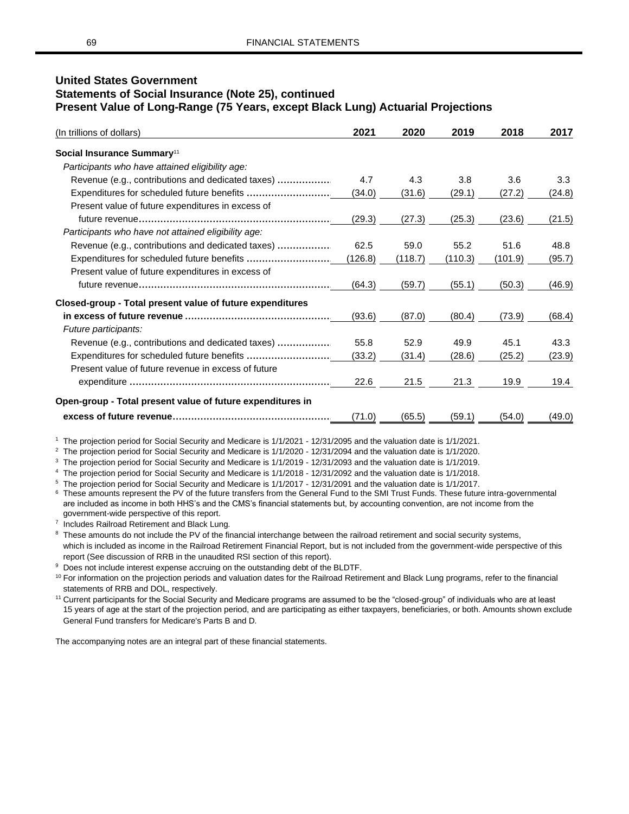### **United States Government**

#### **Statements of Social Insurance (Note 25), continued**

#### **Present Value of Long-Range (75 Years, except Black Lung) Actuarial Projections**

| (In trillions of dollars)                                  | 2021    | 2020    | 2019    | 2018    | 2017   |
|------------------------------------------------------------|---------|---------|---------|---------|--------|
| Social Insurance Summary <sup>11</sup>                     |         |         |         |         |        |
| Participants who have attained eligibility age:            |         |         |         |         |        |
| Revenue (e.g., contributions and dedicated taxes)          | 4.7     | 4.3     | 3.8     | 3.6     | 3.3    |
|                                                            | (34.0)  | (31.6)  | (29.1)  | (27.2)  | (24.8) |
| Present value of future expenditures in excess of          |         |         |         |         |        |
|                                                            | (29.3)  | (27.3)  | (25.3)  | (23.6)  | (21.5) |
| Participants who have not attained eligibility age:        |         |         |         |         |        |
| Revenue (e.g., contributions and dedicated taxes)          | 62.5    | 59.0    | 55.2    | 51.6    | 48.8   |
|                                                            | (126.8) | (118.7) | (110.3) | (101.9) | (95.7) |
| Present value of future expenditures in excess of          |         |         |         |         |        |
|                                                            | (64.3)  | (59.7)  | (55.1)  | (50.3)  | (46.9) |
| Closed-group - Total present value of future expenditures  |         |         |         |         |        |
|                                                            | (93.6)  | (87.0)  | (80.4)  | (73.9)  | (68.4) |
| Future participants:                                       |         |         |         |         |        |
| Revenue (e.g., contributions and dedicated taxes)          | 55.8    | 52.9    | 49.9    | 45.1    | 43.3   |
|                                                            | (33.2)  | (31.4)  | (28.6)  | (25.2)  | (23.9) |
| Present value of future revenue in excess of future        |         |         |         |         |        |
|                                                            | 22.6    | 21.5    | 21.3    | 19.9    | 19.4   |
| Open-group - Total present value of future expenditures in |         |         |         |         |        |
|                                                            | (71.0)  | (65.5)  | (59.1)  | (54.0)  | (49.0) |
|                                                            |         |         |         |         |        |

<sup>1</sup> The projection period for Social Security and Medicare is 1/1/2021 - 12/31/2095 and the valuation date is 1/1/2021.

<sup>2</sup> The projection period for Social Security and Medicare is 1/1/2020 - 12/31/2094 and the valuation date is 1/1/2020.

<sup>3</sup> The projection period for Social Security and Medicare is 1/1/2019 - 12/31/2093 and the valuation date is 1/1/2019.

<sup>4</sup> The projection period for Social Security and Medicare is 1/1/2018 - 12/31/2092 and the valuation date is 1/1/2018.

<sup>5</sup> The projection period for Social Security and Medicare is 1/1/2017 - 12/31/2091 and the valuation date is 1/1/2017.

These amounts represent the PV of the future transfers from the General Fund to the SMI Trust Funds. These future intra-governmental are included as income in both HHS's and the CMS's financial statements but, by accounting convention, are not income from the government-wide perspective of this report.

<sup>7</sup> Includes Railroad Retirement and Black Lung.

<sup>8</sup> These amounts do not include the PV of the financial interchange between the railroad retirement and social security systems, which is included as income in the Railroad Retirement Financial Report, but is not included from the government-wide perspective of this report (See discussion of RRB in the unaudited RSI section of this report).

<sup>9</sup> Does not include interest expense accruing on the outstanding debt of the BLDTF.

 $10$  For information on the projection periods and valuation dates for the Railroad Retirement and Black Lung programs, refer to the financial statements of RRB and DOL, respectively.

<sup>11</sup> Current participants for the Social Security and Medicare programs are assumed to be the "closed-group" of individuals who are at least 15 years of age at the start of the projection period, and are participating as either taxpayers, beneficiaries, or both. Amounts shown exclude General Fund transfers for Medicare's Parts B and D.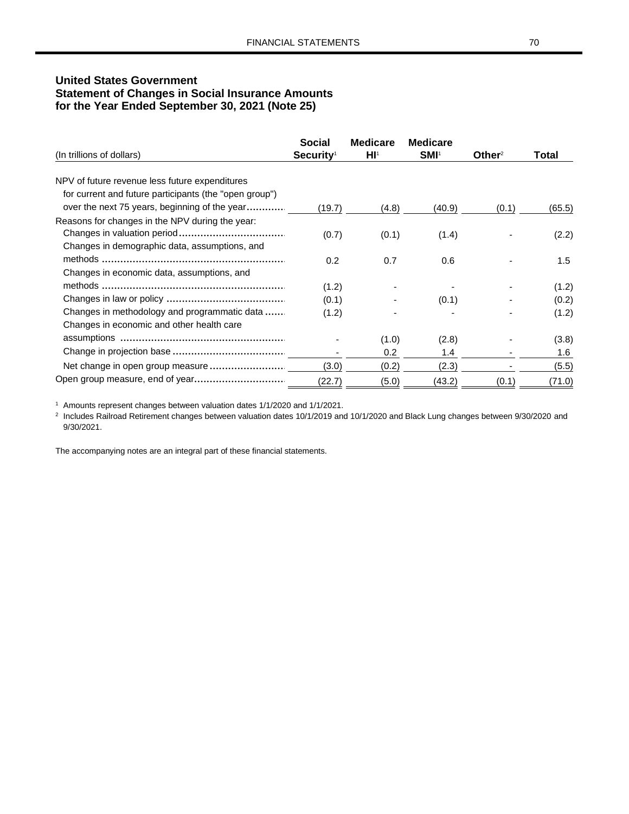#### **United States Government Statement of Changes in Social Insurance Amounts for the Year Ended September 30, 2021 (Note 25)**

| NPV of future revenue less future expenditures<br>for current and future participants (the "open group")<br>over the next 75 years, beginning of the year<br>(19.7)<br>(4.8)<br>(40.9)<br>(0.1)<br>(65.5)<br>(0.7)<br>(0.1)<br>(1.4)<br>(2.2)<br>Changes in demographic data, assumptions, and<br>0.7<br>0.2<br>0.6<br>1.5<br>Changes in economic data, assumptions, and<br>(1.2)<br>(1.2)<br>(0.1)<br>(0.1)<br>(0.2)<br>Changes in methodology and programmatic data<br>(1.2)<br>(1.2)<br>Changes in economic and other health care<br>(1.0)<br>(2.8)<br>(3.8)<br>0.2<br>1.4<br>1.6<br>(3.0)<br>(0.2)<br>(2.3)<br>(5.5)<br>(22.7)<br>(5.0)<br>(43.2)<br>(0.1)<br>(71.0) | (In trillions of dollars)                       | <b>Social</b><br><b>Security</b> <sup>1</sup> | <b>Medicare</b><br>$Hl^1$ | <b>Medicare</b><br><b>SMI</b> <sup>1</sup> | Other <sup>2</sup> | Total |
|--------------------------------------------------------------------------------------------------------------------------------------------------------------------------------------------------------------------------------------------------------------------------------------------------------------------------------------------------------------------------------------------------------------------------------------------------------------------------------------------------------------------------------------------------------------------------------------------------------------------------------------------------------------------------|-------------------------------------------------|-----------------------------------------------|---------------------------|--------------------------------------------|--------------------|-------|
|                                                                                                                                                                                                                                                                                                                                                                                                                                                                                                                                                                                                                                                                          |                                                 |                                               |                           |                                            |                    |       |
|                                                                                                                                                                                                                                                                                                                                                                                                                                                                                                                                                                                                                                                                          |                                                 |                                               |                           |                                            |                    |       |
|                                                                                                                                                                                                                                                                                                                                                                                                                                                                                                                                                                                                                                                                          |                                                 |                                               |                           |                                            |                    |       |
|                                                                                                                                                                                                                                                                                                                                                                                                                                                                                                                                                                                                                                                                          | Reasons for changes in the NPV during the year: |                                               |                           |                                            |                    |       |
|                                                                                                                                                                                                                                                                                                                                                                                                                                                                                                                                                                                                                                                                          |                                                 |                                               |                           |                                            |                    |       |
|                                                                                                                                                                                                                                                                                                                                                                                                                                                                                                                                                                                                                                                                          |                                                 |                                               |                           |                                            |                    |       |
|                                                                                                                                                                                                                                                                                                                                                                                                                                                                                                                                                                                                                                                                          |                                                 |                                               |                           |                                            |                    |       |
|                                                                                                                                                                                                                                                                                                                                                                                                                                                                                                                                                                                                                                                                          |                                                 |                                               |                           |                                            |                    |       |
|                                                                                                                                                                                                                                                                                                                                                                                                                                                                                                                                                                                                                                                                          |                                                 |                                               |                           |                                            |                    |       |
|                                                                                                                                                                                                                                                                                                                                                                                                                                                                                                                                                                                                                                                                          |                                                 |                                               |                           |                                            |                    |       |
|                                                                                                                                                                                                                                                                                                                                                                                                                                                                                                                                                                                                                                                                          |                                                 |                                               |                           |                                            |                    |       |
|                                                                                                                                                                                                                                                                                                                                                                                                                                                                                                                                                                                                                                                                          |                                                 |                                               |                           |                                            |                    |       |
|                                                                                                                                                                                                                                                                                                                                                                                                                                                                                                                                                                                                                                                                          |                                                 |                                               |                           |                                            |                    |       |
|                                                                                                                                                                                                                                                                                                                                                                                                                                                                                                                                                                                                                                                                          |                                                 |                                               |                           |                                            |                    |       |
|                                                                                                                                                                                                                                                                                                                                                                                                                                                                                                                                                                                                                                                                          |                                                 |                                               |                           |                                            |                    |       |
|                                                                                                                                                                                                                                                                                                                                                                                                                                                                                                                                                                                                                                                                          |                                                 |                                               |                           |                                            |                    |       |

<sup>1</sup> Amounts represent changes between valuation dates 1/1/2020 and 1/1/2021.

<sup>2</sup> Includes Railroad Retirement changes between valuation dates 10/1/2019 and 10/1/2020 and Black Lung changes between 9/30/2020 and 9/30/2021.